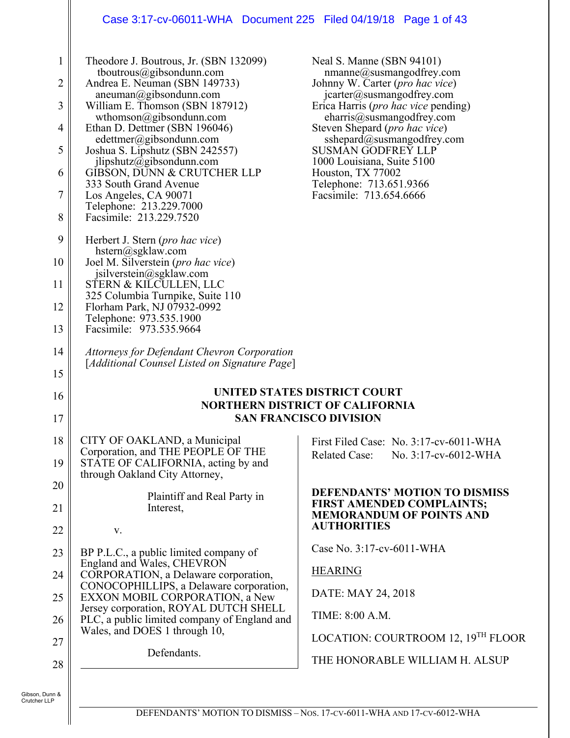#### Case 3:17-cv-06011-WHA Document 225 Filed 04/19/18 Page 1 of 43

| 1<br>2<br>3<br>4<br>5 | Theodore J. Boutrous, Jr. (SBN 132099)<br>tboutrous@gibsondunn.com<br>Andrea E. Neuman (SBN 149733)<br>$aneuman(0)$ gibsondunn.com<br>William E. Thomson (SBN 187912)<br>wthomson@gibsondunn.com<br>Ethan D. Dettmer (SBN 196046)<br>edettmer@gibsondunn.com<br>Joshua S. Lipshutz (SBN 242557)<br>$j$ lipshutz@gibsondunn.com | Neal S. Manne (SBN 94101)<br>$n$ manne $@$ susmangodfrey.com<br>Johnny W. Carter ( <i>pro hac vice</i> )<br>$jcarter(a)g sumangodfrey.com$<br>Erica Harris ( <i>pro hac vice</i> pending)<br>charris@susmangodfrey.com<br>Steven Shepard ( <i>pro hac vice</i> )<br>sshepard@susmangodfrey.com<br><b>SUSMAN GODFREY LLP</b><br>1000 Louisiana, Suite 5100 |
|-----------------------|--------------------------------------------------------------------------------------------------------------------------------------------------------------------------------------------------------------------------------------------------------------------------------------------------------------------------------|-----------------------------------------------------------------------------------------------------------------------------------------------------------------------------------------------------------------------------------------------------------------------------------------------------------------------------------------------------------|
| 6                     | GIBSON, DUNN & CRUTCHER LLP<br>333 South Grand Avenue                                                                                                                                                                                                                                                                          | Houston, TX 77002<br>Telephone: 713.651.9366                                                                                                                                                                                                                                                                                                              |
| 7                     | Los Angeles, CA 90071                                                                                                                                                                                                                                                                                                          | Facsimile: 713.654.6666                                                                                                                                                                                                                                                                                                                                   |
| 8                     | Telephone: 213.229.7000<br>Facsimile: 213.229.7520                                                                                                                                                                                                                                                                             |                                                                                                                                                                                                                                                                                                                                                           |
| 9                     | Herbert J. Stern ( <i>pro hac vice</i> )                                                                                                                                                                                                                                                                                       |                                                                                                                                                                                                                                                                                                                                                           |
| 10                    | $h^{stern}(a)$ sgklaw.com<br>Joel M. Silverstein ( <i>pro hac vice</i> )                                                                                                                                                                                                                                                       |                                                                                                                                                                                                                                                                                                                                                           |
| 11                    | jsilverstein@sgklaw.com<br>STERN & KILCULLEN, LLC                                                                                                                                                                                                                                                                              |                                                                                                                                                                                                                                                                                                                                                           |
| 12                    | 325 Columbia Turnpike, Suite 110<br>Florham Park, NJ 07932-0992                                                                                                                                                                                                                                                                |                                                                                                                                                                                                                                                                                                                                                           |
| 13                    | Telephone: 973.535.1900<br>Facsimile: 973.535.9664                                                                                                                                                                                                                                                                             |                                                                                                                                                                                                                                                                                                                                                           |
| 14                    | Attorneys for Defendant Chevron Corporation                                                                                                                                                                                                                                                                                    |                                                                                                                                                                                                                                                                                                                                                           |
| 15                    | [Additional Counsel Listed on Signature Page]                                                                                                                                                                                                                                                                                  |                                                                                                                                                                                                                                                                                                                                                           |
| 16                    |                                                                                                                                                                                                                                                                                                                                | UNITED STATES DISTRICT COURT                                                                                                                                                                                                                                                                                                                              |
| 17                    |                                                                                                                                                                                                                                                                                                                                | <b>NORTHERN DISTRICT OF CALIFORNIA</b><br><b>SAN FRANCISCO DIVISION</b>                                                                                                                                                                                                                                                                                   |
| 18                    | CITY OF OAKLAND, a Municipal                                                                                                                                                                                                                                                                                                   | First Filed Case: No. 3:17-cv-6011-WHA                                                                                                                                                                                                                                                                                                                    |
| 19                    | Corporation, and THE PEOPLE OF THE<br>STATE OF CALIFORNIA, acting by and<br>through Oakland City Attorney,                                                                                                                                                                                                                     | <b>Related Case:</b><br>No. 3:17-cv-6012-WHA                                                                                                                                                                                                                                                                                                              |
| 20                    | Plaintiff and Real Party in                                                                                                                                                                                                                                                                                                    | <b>DEFENDANTS' MOTION TO DISMISS</b>                                                                                                                                                                                                                                                                                                                      |
| 21                    |                                                                                                                                                                                                                                                                                                                                |                                                                                                                                                                                                                                                                                                                                                           |
|                       | Interest,                                                                                                                                                                                                                                                                                                                      | <b>FIRST AMENDED COMPLAINTS;</b><br><b>MEMORANDUM OF POINTS AND</b>                                                                                                                                                                                                                                                                                       |
| 22                    | V.                                                                                                                                                                                                                                                                                                                             | <b>AUTHORITIES</b>                                                                                                                                                                                                                                                                                                                                        |
| 23                    | BP P.L.C., a public limited company of                                                                                                                                                                                                                                                                                         | Case No. 3:17-cv-6011-WHA                                                                                                                                                                                                                                                                                                                                 |
| 24                    | England and Wales, CHEVRON<br>CORPORATION, a Delaware corporation,                                                                                                                                                                                                                                                             | <b>HEARING</b>                                                                                                                                                                                                                                                                                                                                            |
| 25                    | CONOCOPHILLIPS, a Delaware corporation,<br>EXXON MOBIL CORPORATION, a New                                                                                                                                                                                                                                                      | DATE: MAY 24, 2018                                                                                                                                                                                                                                                                                                                                        |
| 26                    | Jersey corporation, ROYAL DUTCH SHELL<br>PLC, a public limited company of England and                                                                                                                                                                                                                                          | TIME: 8:00 A.M.                                                                                                                                                                                                                                                                                                                                           |
| 27                    | Wales, and DOES 1 through 10,                                                                                                                                                                                                                                                                                                  | LOCATION: COURTROOM 12, 19 <sup>TH</sup> FLOOR                                                                                                                                                                                                                                                                                                            |
| 28                    | Defendants.                                                                                                                                                                                                                                                                                                                    | THE HONORABLE WILLIAM H. ALSUP                                                                                                                                                                                                                                                                                                                            |

 $\mathbf{\mathsf{I}}$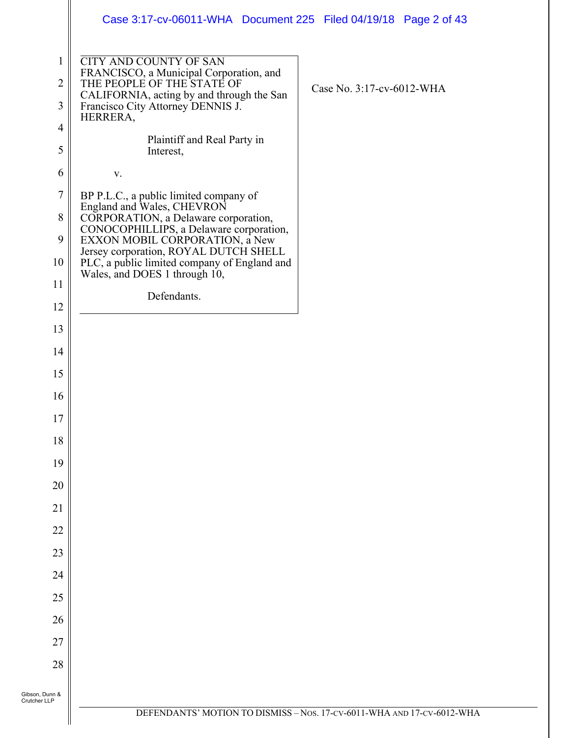|                                     | Case 3:17-cv-06011-WHA  Document 225  Filed 04/19/18  Page 2 of 43                                                                                                                                                                                                                                                  |                                                                        |
|-------------------------------------|---------------------------------------------------------------------------------------------------------------------------------------------------------------------------------------------------------------------------------------------------------------------------------------------------------------------|------------------------------------------------------------------------|
| $\mathbf{1}$<br>$\overline{2}$<br>3 | <b>CITY AND COUNTY OF SAN</b><br>FRANCISCO, a Municipal Corporation, and<br>THE PEOPLE OF THE STATE OF<br>CALIFORNIA, acting by and through the San<br>Francisco City Attorney DENNIS J.<br>HERRERA,                                                                                                                | Case No. 3:17-cv-6012-WHA                                              |
| $\overline{4}$<br>5                 | Plaintiff and Real Party in<br>Interest,                                                                                                                                                                                                                                                                            |                                                                        |
| 6                                   | V.                                                                                                                                                                                                                                                                                                                  |                                                                        |
| $\tau$<br>$8\,$<br>9<br>10          | BP P.L.C., a public limited company of<br>England and Wales, CHEVRON<br>CORPORATION, a Delaware corporation,<br>CONOCOPHILLIPS, a Delaware corporation,<br>EXXON MOBIL CORPORATION, a New<br>Jersey corporation, ROYAL DUTCH SHELL<br>PLC, a public limited company of England and<br>Wales, and DOES 1 through 10, |                                                                        |
| 11<br>12                            | Defendants.                                                                                                                                                                                                                                                                                                         |                                                                        |
| 13                                  |                                                                                                                                                                                                                                                                                                                     |                                                                        |
| 14                                  |                                                                                                                                                                                                                                                                                                                     |                                                                        |
| 15                                  |                                                                                                                                                                                                                                                                                                                     |                                                                        |
| 16                                  |                                                                                                                                                                                                                                                                                                                     |                                                                        |
| 17                                  |                                                                                                                                                                                                                                                                                                                     |                                                                        |
| 18                                  |                                                                                                                                                                                                                                                                                                                     |                                                                        |
| 19                                  |                                                                                                                                                                                                                                                                                                                     |                                                                        |
| 20                                  |                                                                                                                                                                                                                                                                                                                     |                                                                        |
| 21                                  |                                                                                                                                                                                                                                                                                                                     |                                                                        |
| 22                                  |                                                                                                                                                                                                                                                                                                                     |                                                                        |
| 23                                  |                                                                                                                                                                                                                                                                                                                     |                                                                        |
| 24                                  |                                                                                                                                                                                                                                                                                                                     |                                                                        |
| 25                                  |                                                                                                                                                                                                                                                                                                                     |                                                                        |
| 26                                  |                                                                                                                                                                                                                                                                                                                     |                                                                        |
| 27                                  |                                                                                                                                                                                                                                                                                                                     |                                                                        |
| 28                                  |                                                                                                                                                                                                                                                                                                                     |                                                                        |
| Gibson, Dunn &<br>Crutcher LLP      |                                                                                                                                                                                                                                                                                                                     |                                                                        |
|                                     |                                                                                                                                                                                                                                                                                                                     | DEFENDANTS' MOTION TO DISMISS - Nos. 17-CV-6011-WHA AND 17-CV-6012-WHA |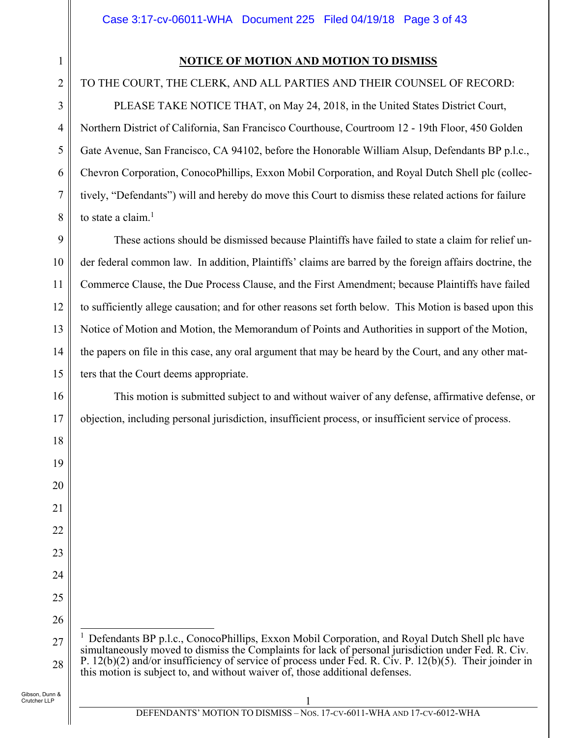# **NOTICE OF MOTION AND MOTION TO DISMISS**

# TO THE COURT, THE CLERK, AND ALL PARTIES AND THEIR COUNSEL OF RECORD:

PLEASE TAKE NOTICE THAT, on May 24, 2018, in the United States District Court, Northern District of California, San Francisco Courthouse, Courtroom 12 - 19th Floor, 450 Golden Gate Avenue, San Francisco, CA 94102, before the Honorable William Alsup, Defendants BP p.l.c., Chevron Corporation, ConocoPhillips, Exxon Mobil Corporation, and Royal Dutch Shell plc (collectively, "Defendants") will and hereby do move this Court to dismiss these related actions for failure to state a claim. $<sup>1</sup>$ </sup>

9 10 11 12 13 14 15 These actions should be dismissed because Plaintiffs have failed to state a claim for relief under federal common law. In addition, Plaintiffs' claims are barred by the foreign affairs doctrine, the Commerce Clause, the Due Process Clause, and the First Amendment; because Plaintiffs have failed to sufficiently allege causation; and for other reasons set forth below. This Motion is based upon this Notice of Motion and Motion, the Memorandum of Points and Authorities in support of the Motion, the papers on file in this case, any oral argument that may be heard by the Court, and any other matters that the Court deems appropriate.

This motion is submitted subject to and without waiver of any defense, affirmative defense, or objection, including personal jurisdiction, insufficient process, or insufficient service of process.

1

2

3

4

5

6

7

8

16

17

18

19

20

21

22

23

24

25

<sup>27</sup> 28  $\overline{\phantom{a}}$ <sup>1</sup> Defendants BP p.l.c., ConocoPhillips, Exxon Mobil Corporation, and Royal Dutch Shell plc have simultaneously moved to dismiss the Complaints for lack of personal jurisdiction under Fed. R. Civ. P. 12(b)(2) and/or insufficiency of service of process under Fed. R. Civ. P. 12(b)(5). Their joinder in this motion is subject to, and without waiver of, those additional defenses.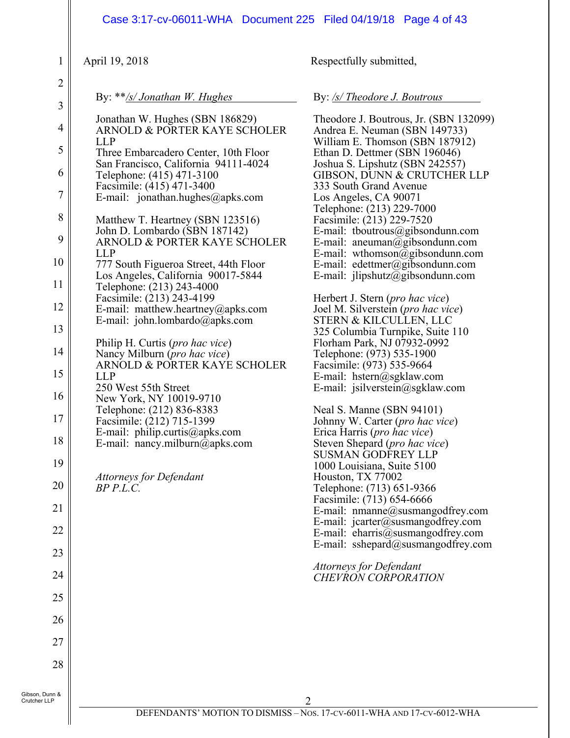| April 19, 2018<br>1                                                                                                                                                                                                                                                                                                                                                                                                                                                                                                                                                                                                                                                                                                                                                                                                                                                                                                                                                                                                                                    |                                                                                              | Respectfully submitted,                                                                                                                                                                                                                                                                                                                                                                                                                                                                                                                                                                                                                                                                                                                                                                                                                                                                                                                                                                                                                                                                                                                                                                                                                                                                                             |
|--------------------------------------------------------------------------------------------------------------------------------------------------------------------------------------------------------------------------------------------------------------------------------------------------------------------------------------------------------------------------------------------------------------------------------------------------------------------------------------------------------------------------------------------------------------------------------------------------------------------------------------------------------------------------------------------------------------------------------------------------------------------------------------------------------------------------------------------------------------------------------------------------------------------------------------------------------------------------------------------------------------------------------------------------------|----------------------------------------------------------------------------------------------|---------------------------------------------------------------------------------------------------------------------------------------------------------------------------------------------------------------------------------------------------------------------------------------------------------------------------------------------------------------------------------------------------------------------------------------------------------------------------------------------------------------------------------------------------------------------------------------------------------------------------------------------------------------------------------------------------------------------------------------------------------------------------------------------------------------------------------------------------------------------------------------------------------------------------------------------------------------------------------------------------------------------------------------------------------------------------------------------------------------------------------------------------------------------------------------------------------------------------------------------------------------------------------------------------------------------|
| $\overline{c}$<br>By: **/s/ Jonathan W. Hughes<br>3                                                                                                                                                                                                                                                                                                                                                                                                                                                                                                                                                                                                                                                                                                                                                                                                                                                                                                                                                                                                    |                                                                                              | By: /s/ Theodore J. Boutrous                                                                                                                                                                                                                                                                                                                                                                                                                                                                                                                                                                                                                                                                                                                                                                                                                                                                                                                                                                                                                                                                                                                                                                                                                                                                                        |
| Jonathan W. Hughes (SBN 186829)<br>$\overline{4}$<br><b>LLP</b><br>5<br>Three Embarcadero Center, 10th Floor<br>San Francisco, California 94111-4024<br>6<br>Telephone: (415) 471-3100<br>Facsimile: (415) 471-3400<br>$\boldsymbol{7}$<br>E-mail: jonathan.hughes@apks.com<br>$\,8\,$<br>Matthew T. Heartney (SBN 123516)<br>John D. Lombardo (SBN 187142)<br>9<br><b>LLP</b><br>10<br>777 South Figueroa Street, 44th Floor<br>Los Angeles, California 90017-5844<br>11<br>Telephone: (213) 243-4000<br>Facsimile: (213) 243-4199<br>12<br>E-mail: matthew.heartney@apks.com<br>E-mail: john.lombardo@apks.com<br>13<br>Philip H. Curtis (pro hac vice)<br>14<br>Nancy Milburn (pro hac vice)<br>15<br><b>LLP</b><br>250 West 55th Street<br>16<br>New York, NY 10019-9710<br>Telephone: (212) 836-8383<br>17<br>Facsimile: (212) 715-1399<br>E-mail: philip.curtis@apks.com<br>18<br>E-mail: nancy.milburn $\overline{a}$ ) apks.com<br>19<br><b>Attorneys for Defendant</b><br>20<br>$BP$ $P.L.C.$<br>21<br>22<br>23<br>24<br>25<br>26<br>27<br>28 | ARNOLD & PORTER KAYE SCHOLER<br>ARNOLD & PORTER KAYE SCHOLER<br>ARNOLD & PORTER KAYE SCHOLER | Theodore J. Boutrous, Jr. (SBN 132099)<br>Andrea E. Neuman (SBN 149733)<br>William E. Thomson (SBN 187912)<br>Ethan D. Dettmer (SBN 196046)<br>Joshua S. Lipshutz (SBN 242557)<br>GIBSON, DUNN & CRUTCHER LLP<br>333 South Grand Avenue<br>Los Angeles, CA 90071<br>Telephone: (213) 229-7000<br>Facsimile: (213) 229-7520<br>E-mail: tboutrous@gibsondunn.com<br>E-mail: aneuman@gibsondunn.com<br>E-mail: wthomson@gibsondunn.com<br>E-mail: edettmer@gibsondunn.com<br>E-mail: jlipshutz@gibsondunn.com<br>Herbert J. Stern ( <i>pro hac vice</i> )<br>Joel M. Silverstein (pro hac vice)<br>STERN & KILCULLEN, LLC<br>325 Columbia Turnpike, Suite 110<br>Florham Park, NJ 07932-0992<br>Telephone: (973) 535-1900<br>Facsimile: (973) 535-9664<br>E-mail: hstern@sgklaw.com<br>E-mail: jsilverstein@sgklaw.com<br>Neal S. Manne (SBN 94101)<br>Johnny W. Carter (pro hac vice)<br>Erica Harris (pro hac vice)<br>Steven Shepard (pro hac vice)<br><b>SUSMAN GODFREY LLP</b><br>1000 Louisiana, Suite 5100<br>Houston, TX 77002<br>Telephone: (713) 651-9366<br>Facsimile: (713) 654-6666<br>E-mail: nmanne@susmangodfrey.com<br>E-mail: $icarter@swsmangodfrey.com$<br>E-mail: eharris@susmangodfrey.com<br>E-mail: sshepard@susmangodfrey.com<br><b>Attorneys for Defendant</b><br><b>CHEVRON CORPORATION</b> |

 $\parallel$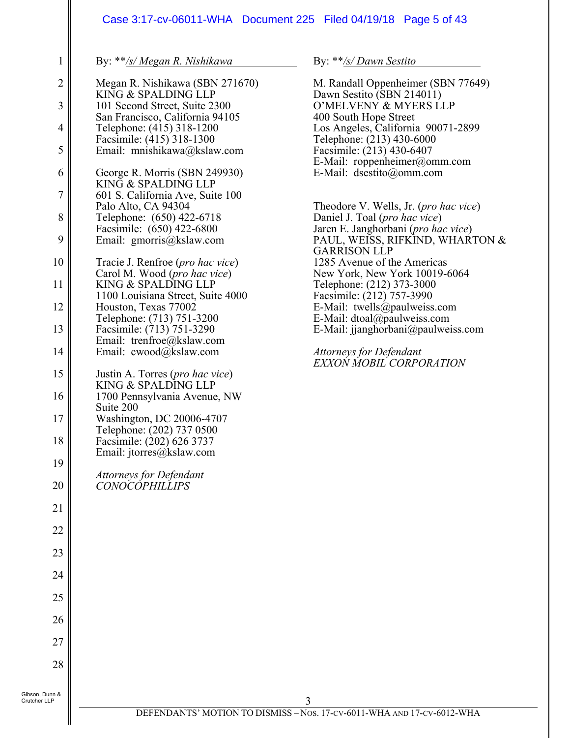# Case 3:17-cv-06011-WHA Document 225 Filed 04/19/18 Page 5 of 43

By: \*\**/s/ Megan R. Nishikawa*

1

| $\overline{c}$          | Megan R. Nishikawa (SBN 271670)<br>KING & SPALDING LLP                              |
|-------------------------|-------------------------------------------------------------------------------------|
| $\overline{\mathbf{3}}$ | 101 Second Street, Suite 2300                                                       |
| $\overline{4}$          | San Francisco, California 94105<br>Telephone: (415) 318-1200                        |
| 5                       | Facsimile: (415) 318-1300<br>Email: mnishikawa@kslaw.com                            |
| 6                       | George R. Morris (SBN 249930)<br>KING & SPALDING LLP                                |
| $\overline{7}$          | 601 S. California Ave, Suite 100                                                    |
| 8                       | Palo Alto, CA 94304<br>Telephone: (650) 422-6718                                    |
| 9                       | Facsimile: (650) 422-6800<br>Email: gmorris@kslaw.com                               |
| 10                      | Tracie J. Renfroe ( <i>pro hac vice</i> )<br>Carol M. Wood (pro hac vice)           |
| 11                      | KING & SPALDING LLP<br>1100 Louisiana Street, Suite 4000                            |
| 12                      | Houston, Texas 77002                                                                |
| 13                      | Telephone: (713) 751-3200<br>Facsimile: (713) 751-3290<br>Email: trenfroe@kslaw.com |
| 14                      | Email: cwood@kslaw.com                                                              |
| 15                      | Justin A. Torres ( <i>pro hac vice</i> )<br>KING & SPALDING LLP                     |
| 16                      | 1700 Pennsylvania Avenue, NW<br>Suite 200                                           |
| 17                      | Washington, DC 20006-4707<br>Telephone: (202) 737 0500                              |
| 18                      | Facsimile: (202) 626 3737<br>Email: jtorres@kslaw.com                               |
| 19                      | Attorneys for Defendant                                                             |
| 20                      | <i>CONOCOPHILLIPS</i>                                                               |
| 21                      |                                                                                     |
| 22                      |                                                                                     |
| 23                      |                                                                                     |
| 24                      |                                                                                     |
| 25                      |                                                                                     |
| 26                      |                                                                                     |
| 27                      |                                                                                     |
| 28                      |                                                                                     |
| າn &                    |                                                                                     |

By: \*\**/s/ Dawn Sestito*

M. Randall Oppenheimer (SBN 77649) Dawn Sestito (SBN 214011) O'MELVENY & MYERS LLP 400 South Hope Street Los Angeles, California 90071-2899 Telephone: (213) 430-6000 Facsimile: (213) 430-6407 E-Mail: roppenheimer@omm.com E-Mail: dsestito@omm.com Theodore V. Wells, Jr. (*pro hac vice*) Daniel J. Toal (*pro hac vice*) Jaren E. Janghorbani (*pro hac vice*) PAUL, WEISS, RIFKIND, WHARTON & GARRISON LLP 1285 Avenue of the Americas New York, New York 10019-6064 Telephone: (212) 373-3000 Facsimile: (212) 757-3990 E-Mail: twells@paulweiss.com E-Mail: dtoal@paulweiss.com E-Mail: jjanghorbani@paulweiss.com

*Attorneys for Defendant EXXON MOBIL CORPORATION*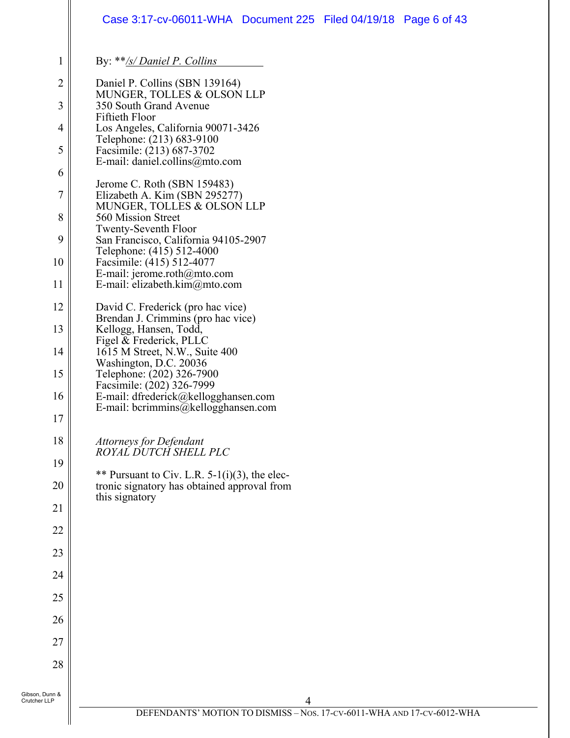#### 1 2 3 4 5 6 7 8 9 10 11 12 13 14 15 16 17 18 19 20 21 22 23 24 25 26 27 28 4 Gibson, Dunn & Crutcher LLP By: \*\**/s/ Daniel P. Collins*  Daniel P. Collins (SBN 139164) MUNGER, TOLLES & OLSON LLP 350 South Grand Avenue Fiftieth Floor Los Angeles, California 90071-3426 Telephone: (213) 683-9100 Facsimile: (213) 687-3702 E-mail: daniel.collins@mto.com Jerome C. Roth (SBN 159483) Elizabeth A. Kim (SBN 295277) MUNGER, TOLLES & OLSON LLP 560 Mission Street Twenty-Seventh Floor San Francisco, California 94105-2907 Telephone: (415) 512-4000 Facsimile: (415) 512-4077 E-mail: jerome.roth@mto.com E-mail: elizabeth.kim@mto.com David C. Frederick (pro hac vice) Brendan J. Crimmins (pro hac vice) Kellogg, Hansen, Todd, Figel & Frederick, PLLC 1615 M Street, N.W., Suite 400 Washington, D.C. 20036 Telephone: (202) 326-7900 Facsimile: (202) 326-7999 E-mail: dfrederick@kellogghansen.com E-mail: bcrimmins@kellogghansen.com *Attorneys for Defendant ROYAL DUTCH SHELL PLC*  \*\* Pursuant to Civ. L.R.  $5-1(i)(3)$ , the electronic signatory has obtained approval from this signatory Case 3:17-cv-06011-WHA Document 225 Filed 04/19/18 Page 6 of 43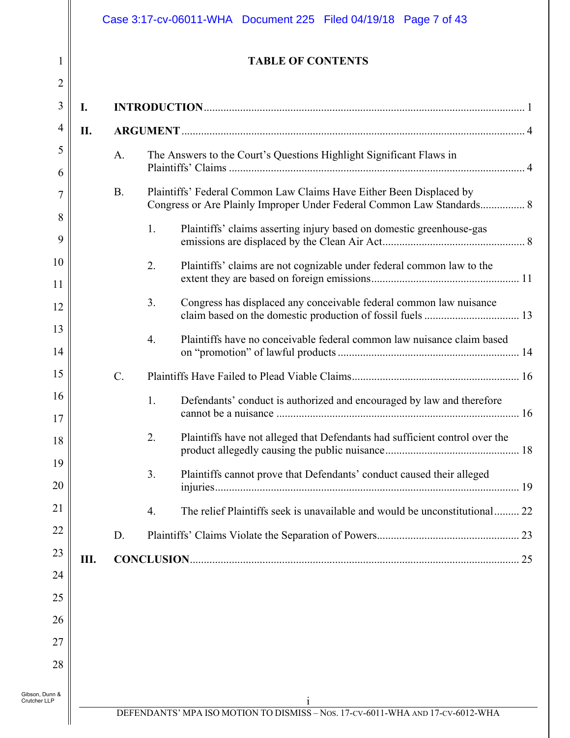| I                   |     |           |                  | <b>TABLE OF CONTENTS</b>                                                                                                                     |
|---------------------|-----|-----------|------------------|----------------------------------------------------------------------------------------------------------------------------------------------|
| $\overline{2}$<br>3 | I.  |           |                  |                                                                                                                                              |
| 4                   | II. |           |                  |                                                                                                                                              |
| 5<br>6              |     | A.        |                  | The Answers to the Court's Questions Highlight Significant Flaws in                                                                          |
| $\overline{7}$      |     | <b>B.</b> |                  | Plaintiffs' Federal Common Law Claims Have Either Been Displaced by<br>Congress or Are Plainly Improper Under Federal Common Law Standards 8 |
| 8<br>9              |     |           | 1.               | Plaintiffs' claims asserting injury based on domestic greenhouse-gas                                                                         |
| 10<br>11            |     |           | 2.               | Plaintiffs' claims are not cognizable under federal common law to the                                                                        |
| 12                  |     |           | 3.               | Congress has displaced any conceivable federal common law nuisance                                                                           |
| 13<br>14            |     |           | $\overline{4}$ . | Plaintiffs have no conceivable federal common law nuisance claim based                                                                       |
| 15                  |     | $C$ .     |                  |                                                                                                                                              |
| 16<br>$17\,$        |     |           | 1.               | Defendants' conduct is authorized and encouraged by law and therefore                                                                        |
| 18<br>19            |     |           | 2.               | Plaintiffs have not alleged that Defendants had sufficient control over the                                                                  |
| 20                  |     |           | 3.               | Plaintiffs cannot prove that Defendants' conduct caused their alleged                                                                        |
| 21                  |     |           | 4.               | The relief Plaintiffs seek is unavailable and would be unconstitutional 22                                                                   |
| 22                  |     | D.        |                  |                                                                                                                                              |
| 23                  | Ш.  |           |                  |                                                                                                                                              |
| 24                  |     |           |                  |                                                                                                                                              |
| 25<br>26            |     |           |                  |                                                                                                                                              |
| 27                  |     |           |                  |                                                                                                                                              |
| 28                  |     |           |                  |                                                                                                                                              |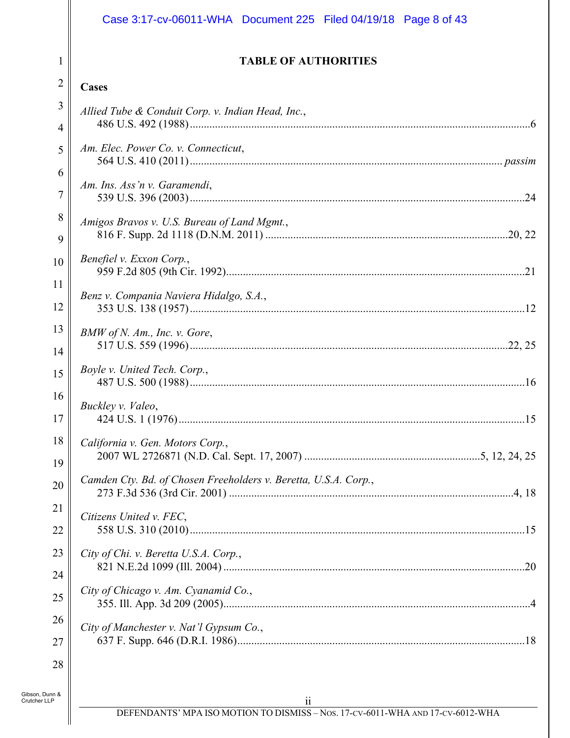# Case 3:17-cv-06011-WHA Document 225 Filed 04/19/18 Page 8 of 43

1

 $\mathsf{l}\mathsf{l}$ 

#### **TABLE OF AUTHORITIES**

| $\overline{2}$                 | <b>Cases</b>                                                             |
|--------------------------------|--------------------------------------------------------------------------|
| 3                              | Allied Tube & Conduit Corp. v. Indian Head, Inc.,                        |
| 4                              |                                                                          |
| 5                              | Am. Elec. Power Co. v. Connecticut,                                      |
| 6                              |                                                                          |
| $\overline{7}$                 | Am. Ins. Ass'n v. Garamendi,                                             |
| 8                              | Amigos Bravos v. U.S. Bureau of Land Mgmt.,                              |
| 9                              |                                                                          |
| 10                             | Benefiel v. Exxon Corp.,                                                 |
| 11                             |                                                                          |
| 12                             | Benz v. Compania Naviera Hidalgo, S.A.,                                  |
| 13                             | BMW of N. Am., Inc. v. Gore,                                             |
| 14                             |                                                                          |
| 15                             | Boyle v. United Tech. Corp.,                                             |
| 16                             | Buckley v. Valeo,                                                        |
| 17                             |                                                                          |
| 18                             | California v. Gen. Motors Corp.,                                         |
| 19                             |                                                                          |
| 20                             | Camden Cty. Bd. of Chosen Freeholders v. Beretta, U.S.A. Corp.,<br>.4.18 |
| 21                             | Citizens United v. FEC,                                                  |
| 22                             |                                                                          |
| 23                             | City of Chi. v. Beretta U.S.A. Corp.,                                    |
| 24                             |                                                                          |
| 25                             | City of Chicago v. Am. Cyanamid Co.,                                     |
| 26                             | City of Manchester v. Nat'l Gypsum Co.,                                  |
| 27                             |                                                                          |
| 28                             |                                                                          |
| Gibson, Dunn &<br>Crutcher LLP | $\ddot{i}$                                                               |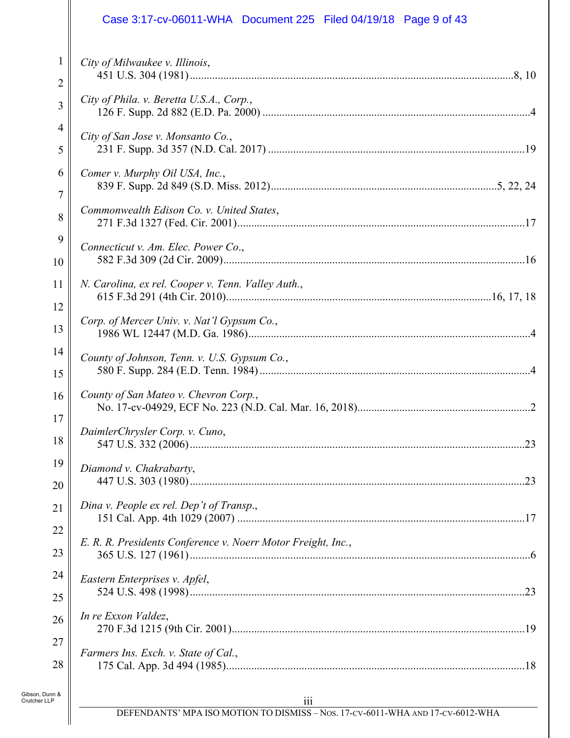#### 1 2 3 4 5 6 7 8 9 10 11 12 13 14 15 16 17 18 19 20 21 22 23 24 25 26 27 *City of Milwaukee v. Illinois*, 451 U.S. 304 (1981) ....................................................................................................................8, 10 *City of Phila. v. Beretta U.S.A., Corp.*, 126 F. Supp. 2d 882 (E.D. Pa. 2000) ................................................................................................4 *City of San Jose v. Monsanto Co.*, 231 F. Supp. 3d 357 (N.D. Cal. 2017) ............................................................................................19 *Comer v. Murphy Oil USA, Inc.*, 839 F. Supp. 2d 849 (S.D. Miss. 2012) .................................................................................5, 22, 24 *Commonwealth Edison Co. v. United States*, 271 F.3d 1327 (Fed. Cir. 2001) .......................................................................................................17 *Connecticut v. Am. Elec. Power Co*., 582 F.3d 309 (2d Cir. 2009) ............................................................................................................16 *N. Carolina, ex rel. Cooper v. Tenn. Valley Auth.*, 615 F.3d 291 (4th Cir. 2010) ...............................................................................................16, 17, 18 *Corp. of Mercer Univ. v. Nat'l Gypsum Co.*, 1986 WL 12447 (M.D. Ga. 1986) .....................................................................................................4 *County of Johnson, Tenn. v. U.S. Gypsum Co.*, 580 F. Supp. 284 (E.D. Tenn. 1984) .................................................................................................4 *County of San Mateo v. Chevron Corp.*, No. 17-cv-04929, ECF No. 223 (N.D. Cal. Mar. 16, 2018)..............................................................2 *DaimlerChrysler Corp. v. Cuno*, 547 U.S. 332 (2006) ........................................................................................................................23 *Diamond v. Chakrabarty*, 447 U.S. 303 (1980) ........................................................................................................................23 *Dina v. People ex rel. Dep't of Transp*., 151 Cal. App. 4th 1029 (2007) .......................................................................................................17 *E. R. R. Presidents Conference v. Noerr Motor Freight, Inc.*, 365 U.S. 127 (1961) ..........................................................................................................................6 *Eastern Enterprises v. Apfel*, 524 U.S. 498 (1998) ........................................................................................................................23 *In re Exxon Valdez*, 270 F.3d 1215 (9th Cir. 2001) .........................................................................................................19 *Farmers Ins. Exch. v. State of Cal.*, Case 3:17-cv-06011-WHA Document 225 Filed 04/19/18 Page 9 of 43

Gibson, Dunn & Crutcher LLP

28

175 Cal. App. 3d 494 (1985) ...........................................................................................................18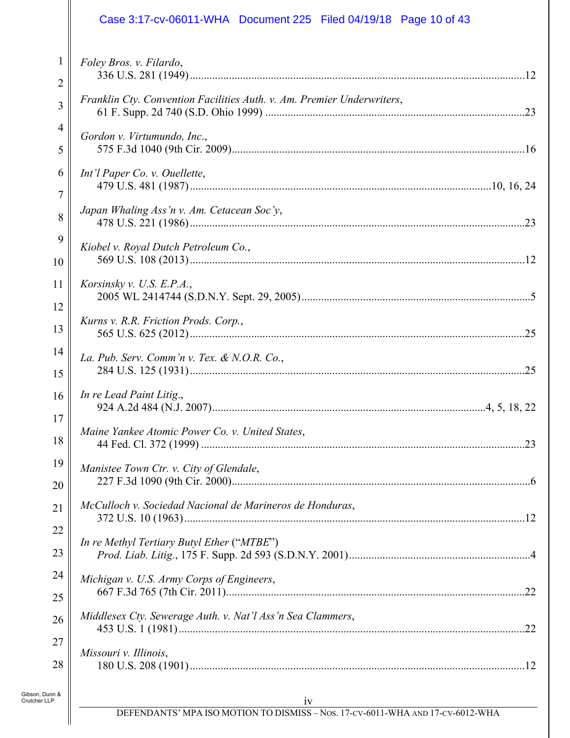# *Foley Bros. v. Filardo*, 336 U.S. 281 (1949) ........................................................................................................................12 *Franklin Cty. Convention Facilities Auth. v. Am. Premier Underwriters*, 61 F. Supp. 2d 740 (S.D. Ohio 1999) .............................................................................................23 *Gordon v. Virtumundo, Inc*., Case 3:17-cv-06011-WHA Document 225 Filed 04/19/18 Page 10 of 43

| 2   |                                                                        |
|-----|------------------------------------------------------------------------|
| 3   | Franklin Cty. Convention Facilities Auth. v. Am. Premier Underwriters, |
| 4   | Gordon v. Virtumundo, Inc.,                                            |
| 5   |                                                                        |
| 6   | Int'l Paper Co. v. Ouellette,                                          |
| 7   | Japan Whaling Ass'n v. Am. Cetacean Soc'y,                             |
| 8   |                                                                        |
| 9   | Kiobel v. Royal Dutch Petroleum Co.,                                   |
| 10  |                                                                        |
| 11  | Korsinsky v. U.S. E.P.A.,                                              |
| 12  | Kurns v. R.R. Friction Prods. Corp.,                                   |
| 13  |                                                                        |
| 14  | La. Pub. Serv. Comm'n v. Tex. & N.O.R. Co.,                            |
| 15  |                                                                        |
| 16  | In re Lead Paint Litig.,                                               |
| 17  | Maine Yankee Atomic Power Co. v. United States,                        |
| 18  |                                                                        |
| 19  | Manistee Town Ctr. v. City of Glendale,                                |
| 20  |                                                                        |
| 21  | McCulloch v. Sociedad Nacional de Marineros de Honduras,               |
| 22  | In re Methyl Tertiary Butyl Ether ("MTBE")                             |
| 23  |                                                                        |
| 24  | Michigan v. U.S. Army Corps of Engineers,                              |
| 25  | Middlesex Cty. Sewerage Auth. v. Nat'l Ass'n Sea Clammers,             |
| 26  |                                                                        |
| 27  | Missouri v. Illinois,                                                  |
| 28  |                                                                        |
| n & |                                                                        |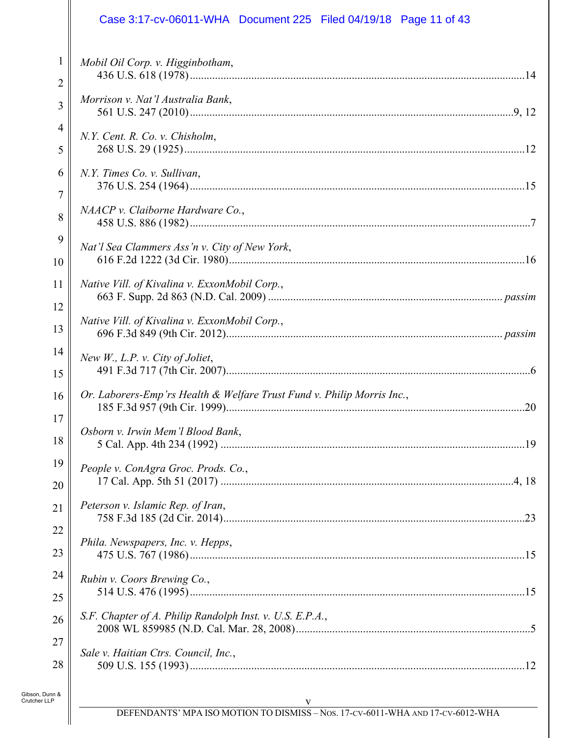# Case 3:17-cv-06011-WHA Document 225 Filed 04/19/18 Page 11 of 43

| $\mathbf{1}$ | Mobil Oil Corp. v. Higginbotham,                                       |
|--------------|------------------------------------------------------------------------|
| 2<br>3       | Morrison v. Nat'l Australia Bank,                                      |
| 4            |                                                                        |
| 5            | N.Y. Cent. R. Co. v. Chisholm,                                         |
| 6            | N.Y. Times Co. v. Sullivan,                                            |
|              |                                                                        |
| 7<br>8       | NAACP v. Claiborne Hardware Co.,                                       |
| 9            |                                                                        |
| 10           | Nat'l Sea Clammers Ass'n v. City of New York,                          |
| 11           | Native Vill. of Kivalina v. ExxonMobil Corp.,                          |
| 12           |                                                                        |
| 13           | Native Vill. of Kivalina v. ExxonMobil Corp.,                          |
| 14           | New $W_{\cdot}$ , L.P. v. City of Joliet,                              |
| 15           |                                                                        |
| 16           | Or. Laborers-Emp'rs Health & Welfare Trust Fund v. Philip Morris Inc., |
| 17           |                                                                        |
| 18           | Osborn v. Irwin Mem'l Blood Bank,                                      |
| 19           | People v. ConAgra Groc. Prods. Co.,                                    |
| 20           |                                                                        |
| 21           | Peterson v. Islamic Rep. of Iran,                                      |
| 22           |                                                                        |
| 23           | Phila. Newspapers, Inc. v. Hepps,                                      |
| 24           | Rubin v. Coors Brewing Co.,                                            |
|              |                                                                        |
|              |                                                                        |
| 25<br>26     | S.F. Chapter of A. Philip Randolph Inst. v. U.S. E.P.A.,               |
| 27           |                                                                        |
| 28           | Sale v. Haitian Ctrs. Council, Inc.,                                   |

║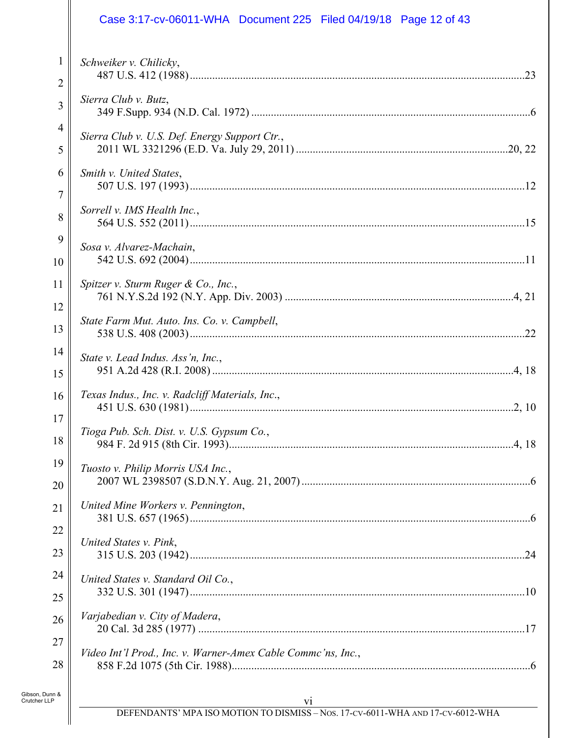# Case 3:17-cv-06011-WHA Document 225 Filed 04/19/18 Page 12 of 43

| 1              | Schweiker v. Chilicky,                                       |
|----------------|--------------------------------------------------------------|
| $\overline{2}$ |                                                              |
| 3              | Sierra Club v. Butz,                                         |
| 4              | Sierra Club v. U.S. Def. Energy Support Ctr.,                |
| 5              |                                                              |
| 6              | Smith v. United States,                                      |
| $\overline{7}$ |                                                              |
| 8              | Sorrell v. IMS Health Inc.,                                  |
|                |                                                              |
| 9              | Sosa v. Alvarez-Machain,                                     |
| 10             |                                                              |
| 11             | Spitzer v. Sturm Ruger & Co., Inc.,                          |
|                |                                                              |
| 12             | State Farm Mut. Auto. Ins. Co. v. Campbell,                  |
| 13             |                                                              |
| 14             | State v. Lead Indus. Ass'n, Inc.,                            |
| 15             |                                                              |
|                |                                                              |
| 16             | Texas Indus., Inc. v. Radcliff Materials, Inc.,              |
| 17             |                                                              |
| 18             | Tioga Pub. Sch. Dist. v. U.S. Gypsum Co.,                    |
| 19             |                                                              |
|                | Tuosto v. Philip Morris USA Inc.,                            |
| 20             |                                                              |
| 21             | United Mine Workers v. Pennington,                           |
| 22             |                                                              |
| 23             | United States v. Pink,                                       |
|                |                                                              |
| 24             | United States v. Standard Oil Co.,                           |
| 25             |                                                              |
| 26             | Varjabedian v. City of Madera,                               |
|                |                                                              |
| 27             | Video Int'l Prod., Inc. v. Warner-Amex Cable Commc'ns, Inc., |
| 28             |                                                              |
| Gibson, Dunn & |                                                              |
| Crutcher LLP   | V1                                                           |

 $\parallel$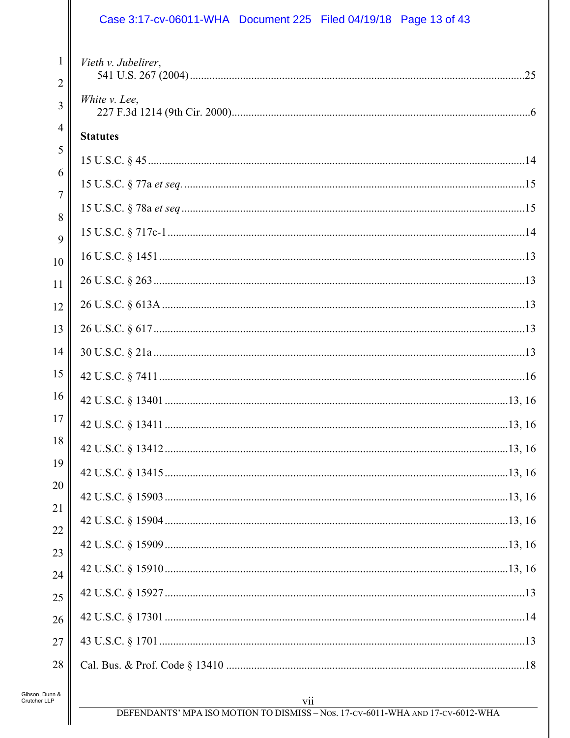# Case 3:17-cv-06011-WHA Document 225 Filed 04/19/18 Page 13 of 43

| 1<br>$\overline{2}$ | Vieth v. Jubelirer, |  |
|---------------------|---------------------|--|
| 3                   | White v. Lee,       |  |
| 4                   | <b>Statutes</b>     |  |
| 5                   |                     |  |
| 6<br>7              |                     |  |
| 8                   |                     |  |
| 9                   |                     |  |
| 10                  |                     |  |
| 11                  |                     |  |
| 12                  |                     |  |
| 13                  |                     |  |
| 14                  |                     |  |
| 15                  |                     |  |
| 16                  |                     |  |
| 17                  |                     |  |
| 18                  |                     |  |
| 19<br>20            |                     |  |
| 21                  |                     |  |
| 22                  |                     |  |
| 23                  |                     |  |
| 24                  |                     |  |
| 25                  |                     |  |
| 26                  |                     |  |
| 27                  |                     |  |
| 28                  |                     |  |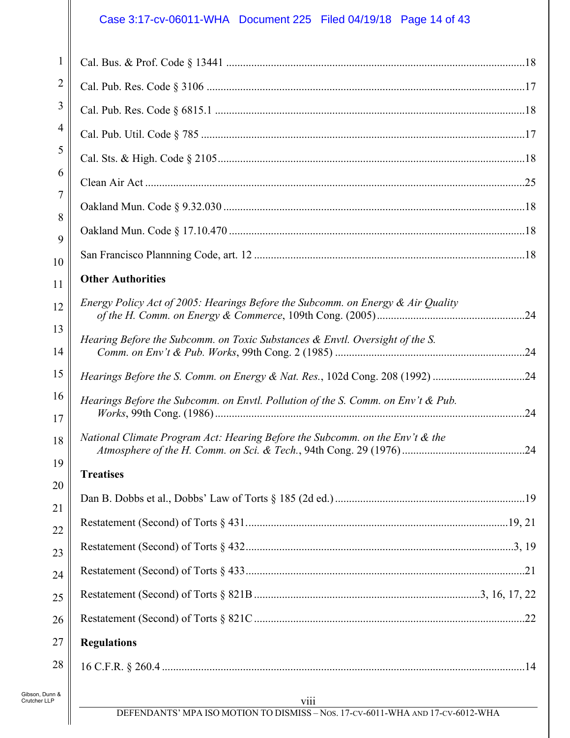# Case 3:17-cv-06011-WHA Document 225 Filed 04/19/18 Page 14 of 43

| $\mathbf{1}$ |                                                                                    |  |
|--------------|------------------------------------------------------------------------------------|--|
| 2            |                                                                                    |  |
| 3            |                                                                                    |  |
| 4            |                                                                                    |  |
| 5            |                                                                                    |  |
| 6            |                                                                                    |  |
| 7            |                                                                                    |  |
| 8            |                                                                                    |  |
| 9            |                                                                                    |  |
| 10<br>11     | <b>Other Authorities</b>                                                           |  |
|              | Energy Policy Act of 2005: Hearings Before the Subcomm. on Energy $\&$ Air Quality |  |
| 12           |                                                                                    |  |
| 13<br>14     | Hearing Before the Subcomm. on Toxic Substances & Envtl. Oversight of the S.       |  |
| 15           | Hearings Before the S. Comm. on Energy & Nat. Res., 102d Cong. 208 (1992) 24       |  |
| 16<br>17     | Hearings Before the Subcomm. on Envtl. Pollution of the S. Comm. on Env't & Pub.   |  |
| 18           | National Climate Program Act: Hearing Before the Subcomm. on the Env't & the       |  |
| 19           | <b>Treatises</b>                                                                   |  |
| 20           |                                                                                    |  |
| 21           |                                                                                    |  |
| 22           |                                                                                    |  |
| 23<br>24     |                                                                                    |  |
| 25           |                                                                                    |  |
| 26           |                                                                                    |  |
| 27           | <b>Regulations</b>                                                                 |  |
| 28           |                                                                                    |  |
|              |                                                                                    |  |
|              |                                                                                    |  |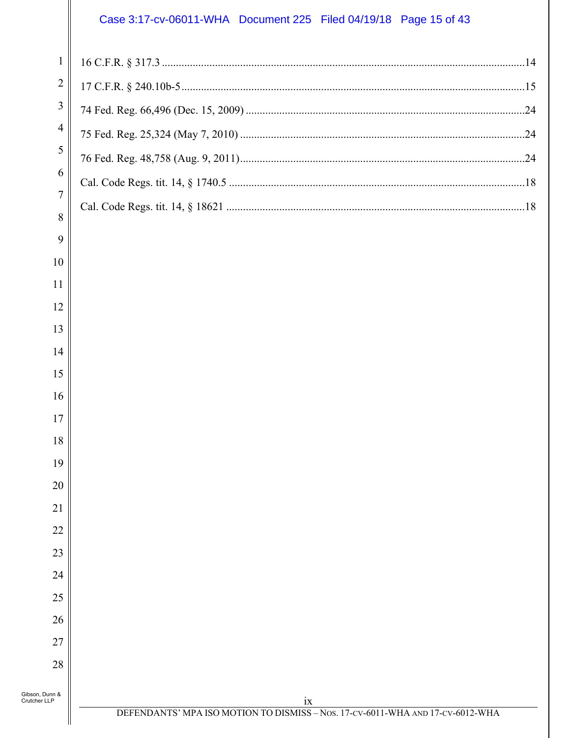### Case 3:17-cv-06011-WHA Document 225 Filed 04/19/18 Page 15 of 43

| $\overline{2}$ |  |
|----------------|--|
| $\overline{3}$ |  |
| $\overline{4}$ |  |
| 5              |  |
| 6              |  |
| $\tau$         |  |
| 8<br>9         |  |

| 5               |
|-----------------|
| 6               |
| $\overline{7}$  |
| 8               |
| 9               |
| 10              |
| 11              |
| 12              |
| 13              |
| $\overline{14}$ |
| 15              |
| 16              |
| 17              |
| 18              |
| 19              |
| 20              |
| $\overline{21}$ |
| $\overline{22}$ |
| 23              |

24

25

26

27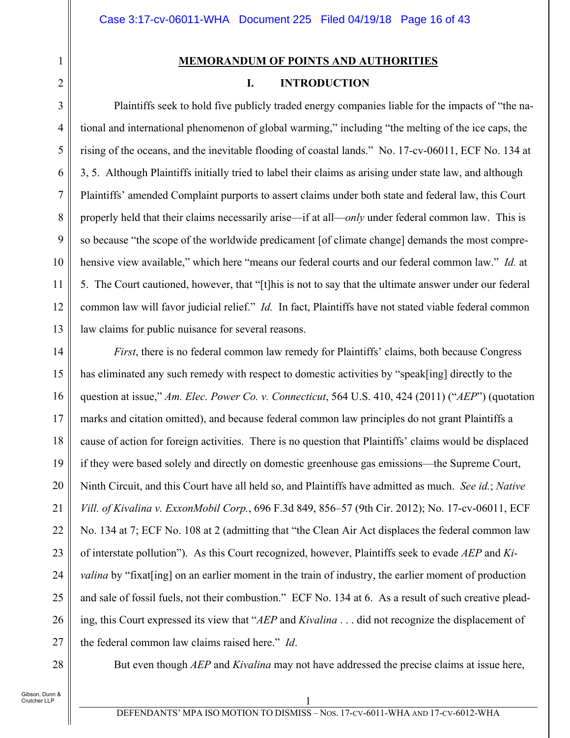#### **MEMORANDUM OF POINTS AND AUTHORITIES**

# **I. INTRODUCTION**

Plaintiffs seek to hold five publicly traded energy companies liable for the impacts of "the national and international phenomenon of global warming," including "the melting of the ice caps, the rising of the oceans, and the inevitable flooding of coastal lands." No. 17-cv-06011, ECF No. 134 at 3, 5. Although Plaintiffs initially tried to label their claims as arising under state law, and although Plaintiffs' amended Complaint purports to assert claims under both state and federal law, this Court properly held that their claims necessarily arise—if at all—*only* under federal common law. This is so because "the scope of the worldwide predicament [of climate change] demands the most comprehensive view available," which here "means our federal courts and our federal common law." *Id.* at 5. The Court cautioned, however, that "[t]his is not to say that the ultimate answer under our federal common law will favor judicial relief." *Id.* In fact, Plaintiffs have not stated viable federal common law claims for public nuisance for several reasons.

14 15 16 17 18 19 20 21 22 23 24 25 26 27 *First*, there is no federal common law remedy for Plaintiffs' claims, both because Congress has eliminated any such remedy with respect to domestic activities by "speak[ing] directly to the question at issue," *Am. Elec. Power Co. v. Connecticut*, 564 U.S. 410, 424 (2011) ("*AEP*") (quotation marks and citation omitted), and because federal common law principles do not grant Plaintiffs a cause of action for foreign activities. There is no question that Plaintiffs' claims would be displaced if they were based solely and directly on domestic greenhouse gas emissions—the Supreme Court, Ninth Circuit, and this Court have all held so, and Plaintiffs have admitted as much. *See id.*; *Native Vill. of Kivalina v. ExxonMobil Corp.*, 696 F.3d 849, 856–57 (9th Cir. 2012); No. 17-cv-06011, ECF No. 134 at 7; ECF No. 108 at 2 (admitting that "the Clean Air Act displaces the federal common law of interstate pollution"). As this Court recognized, however, Plaintiffs seek to evade *AEP* and *Kivalina* by "fixat [ing] on an earlier moment in the train of industry, the earlier moment of production and sale of fossil fuels, not their combustion." ECF No. 134 at 6. As a result of such creative pleading, this Court expressed its view that "*AEP* and *Kivalina* . . . did not recognize the displacement of the federal common law claims raised here." *Id*.

28

1

2

3

4

5

6

7

8

9

10

11

12

13

But even though *AEP* and *Kivalina* may not have addressed the precise claims at issue here,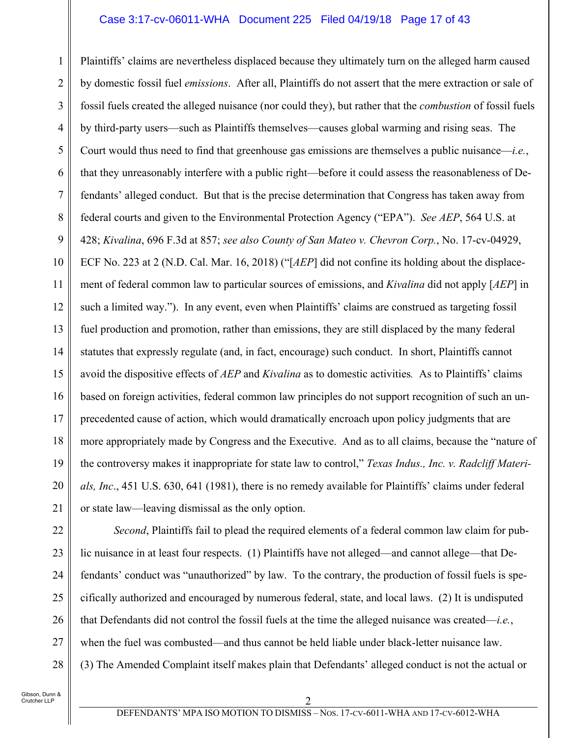#### Case 3:17-cv-06011-WHA Document 225 Filed 04/19/18 Page 17 of 43

1 2 3 4 5 6 7 8 9 10 11 12 13 14 15 16 17 18 19 20 21 Plaintiffs' claims are nevertheless displaced because they ultimately turn on the alleged harm caused by domestic fossil fuel *emissions*. After all, Plaintiffs do not assert that the mere extraction or sale of fossil fuels created the alleged nuisance (nor could they), but rather that the *combustion* of fossil fuels by third-party users—such as Plaintiffs themselves—causes global warming and rising seas. The Court would thus need to find that greenhouse gas emissions are themselves a public nuisance—*i.e.*, that they unreasonably interfere with a public right—before it could assess the reasonableness of Defendants' alleged conduct. But that is the precise determination that Congress has taken away from federal courts and given to the Environmental Protection Agency ("EPA"). *See AEP*, 564 U.S. at 428; *Kivalina*, 696 F.3d at 857; *see also County of San Mateo v. Chevron Corp.*, No. 17-cv-04929, ECF No. 223 at 2 (N.D. Cal. Mar. 16, 2018) ("[*AEP*] did not confine its holding about the displacement of federal common law to particular sources of emissions, and *Kivalina* did not apply [*AEP*] in such a limited way."). In any event, even when Plaintiffs' claims are construed as targeting fossil fuel production and promotion, rather than emissions, they are still displaced by the many federal statutes that expressly regulate (and, in fact, encourage) such conduct. In short, Plaintiffs cannot avoid the dispositive effects of *AEP* and *Kivalina* as to domestic activities*.* As to Plaintiffs' claims based on foreign activities, federal common law principles do not support recognition of such an unprecedented cause of action, which would dramatically encroach upon policy judgments that are more appropriately made by Congress and the Executive. And as to all claims, because the "nature of the controversy makes it inappropriate for state law to control," *Texas Indus., Inc. v. Radcliff Materials, Inc*., 451 U.S. 630, 641 (1981), there is no remedy available for Plaintiffs' claims under federal or state law—leaving dismissal as the only option.

27

28

*Second*, Plaintiffs fail to plead the required elements of a federal common law claim for public nuisance in at least four respects. (1) Plaintiffs have not alleged—and cannot allege—that Defendants' conduct was "unauthorized" by law. To the contrary, the production of fossil fuels is specifically authorized and encouraged by numerous federal, state, and local laws. (2) It is undisputed that Defendants did not control the fossil fuels at the time the alleged nuisance was created—*i.e.*, when the fuel was combusted—and thus cannot be held liable under black-letter nuisance law. (3) The Amended Complaint itself makes plain that Defendants' alleged conduct is not the actual or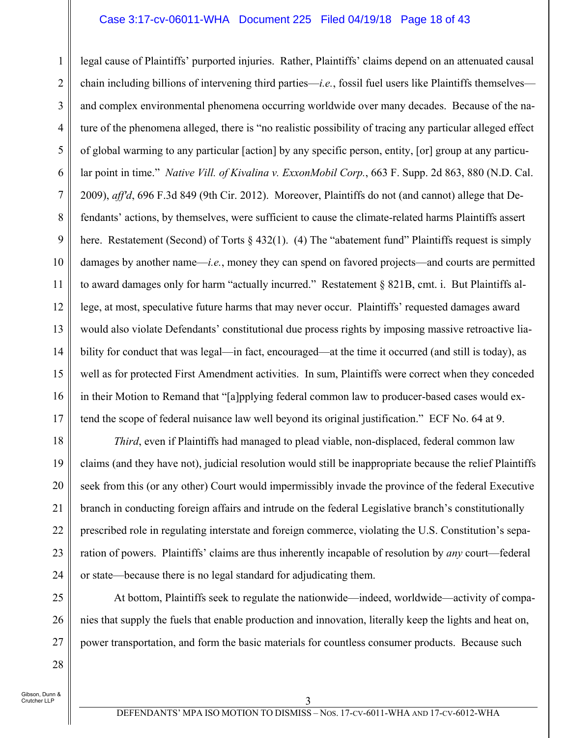#### Case 3:17-cv-06011-WHA Document 225 Filed 04/19/18 Page 18 of 43

1 2 3 4 5 6 7 8 9 10 11 12 13 14 15 16 17 legal cause of Plaintiffs' purported injuries. Rather, Plaintiffs' claims depend on an attenuated causal chain including billions of intervening third parties—*i.e.*, fossil fuel users like Plaintiffs themselves and complex environmental phenomena occurring worldwide over many decades. Because of the nature of the phenomena alleged, there is "no realistic possibility of tracing any particular alleged effect of global warming to any particular [action] by any specific person, entity, [or] group at any particular point in time." *Native Vill. of Kivalina v. ExxonMobil Corp.*, 663 F. Supp. 2d 863, 880 (N.D. Cal. 2009), *aff'd*, 696 F.3d 849 (9th Cir. 2012). Moreover, Plaintiffs do not (and cannot) allege that Defendants' actions, by themselves, were sufficient to cause the climate-related harms Plaintiffs assert here. Restatement (Second) of Torts § 432(1). (4) The "abatement fund" Plaintiffs request is simply damages by another name—*i.e.*, money they can spend on favored projects—and courts are permitted to award damages only for harm "actually incurred." Restatement § 821B, cmt. i. But Plaintiffs allege, at most, speculative future harms that may never occur. Plaintiffs' requested damages award would also violate Defendants' constitutional due process rights by imposing massive retroactive liability for conduct that was legal—in fact, encouraged—at the time it occurred (and still is today), as well as for protected First Amendment activities. In sum, Plaintiffs were correct when they conceded in their Motion to Remand that "[a]pplying federal common law to producer-based cases would extend the scope of federal nuisance law well beyond its original justification." ECF No. 64 at 9.

*Third*, even if Plaintiffs had managed to plead viable, non-displaced, federal common law claims (and they have not), judicial resolution would still be inappropriate because the relief Plaintiffs seek from this (or any other) Court would impermissibly invade the province of the federal Executive branch in conducting foreign affairs and intrude on the federal Legislative branch's constitutionally prescribed role in regulating interstate and foreign commerce, violating the U.S. Constitution's separation of powers. Plaintiffs' claims are thus inherently incapable of resolution by *any* court—federal or state—because there is no legal standard for adjudicating them.

25 26 27 At bottom, Plaintiffs seek to regulate the nationwide—indeed, worldwide—activity of companies that supply the fuels that enable production and innovation, literally keep the lights and heat on, power transportation, and form the basic materials for countless consumer products. Because such

Gibson, Dunn & Crutcher LLP

18

19

20

21

22

23

24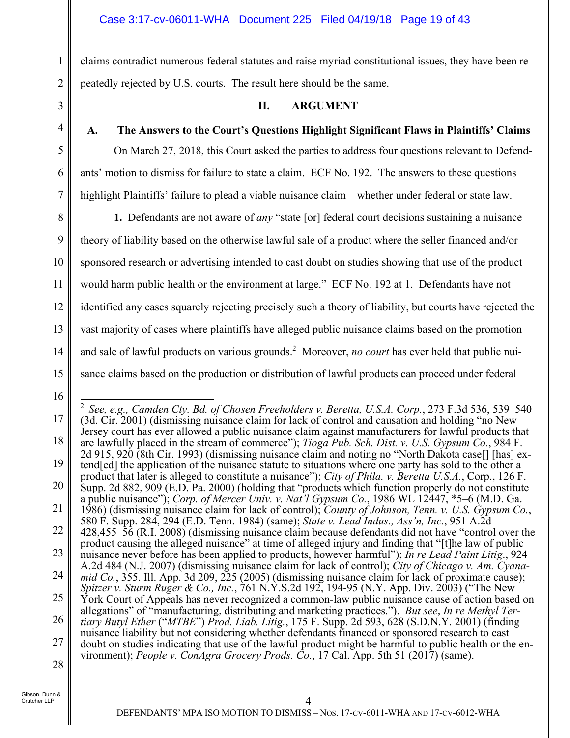### Case 3:17-cv-06011-WHA Document 225 Filed 04/19/18 Page 19 of 43

claims contradict numerous federal statutes and raise myriad constitutional issues, they have been repeatedly rejected by U.S. courts. The result here should be the same.

#### **II. ARGUMENT**

1

2

3

4

5

6

7

#### **A. The Answers to the Court's Questions Highlight Significant Flaws in Plaintiffs' Claims**

On March 27, 2018, this Court asked the parties to address four questions relevant to Defendants' motion to dismiss for failure to state a claim. ECF No. 192. The answers to these questions highlight Plaintiffs' failure to plead a viable nuisance claim—whether under federal or state law.

8 9 10 11 12 13 14 15 **1.** Defendants are not aware of *any* "state [or] federal court decisions sustaining a nuisance theory of liability based on the otherwise lawful sale of a product where the seller financed and/or sponsored research or advertising intended to cast doubt on studies showing that use of the product would harm public health or the environment at large." ECF No. 192 at 1. Defendants have not identified any cases squarely rejecting precisely such a theory of liability, but courts have rejected the vast majority of cases where plaintiffs have alleged public nuisance claims based on the promotion and sale of lawful products on various grounds.<sup>2</sup> Moreover, *no court* has ever held that public nuisance claims based on the production or distribution of lawful products can proceed under federal

16

<sup>17</sup> 18 19 20 21 22 23 24 25 26 27 28  $\overline{a}$ <sup>2</sup> *See, e.g., Camden Cty. Bd. of Chosen Freeholders v. Beretta, U.S.A. Corp.*, 273 F.3d 536, 539–540 (3d. Cir. 2001) (dismissing nuisance claim for lack of control and causation and holding "no New Jersey court has ever allowed a public nuisance claim against manufacturers for lawful products that are lawfully placed in the stream of commerce"); *Tioga Pub. Sch. Dist. v. U.S. Gypsum Co.*, 984 F. 2d 915, 920 (8th Cir. 1993) (dismissing nuisance claim and noting no "North Dakota case[] [has] extend[ed] the application of the nuisance statute to situations where one party has sold to the other a product that later is alleged to constitute a nuisance"); *City of Phila. v. Beretta U.S.A.*, Corp., 126 F. Supp. 2d 882, 909 (E.D. Pa. 2000) (holding that "products which function properly do not constitute a public nuisance"); *Corp. of Mercer Univ. v. Nat'l Gypsum Co.*, 1986 WL 12447, \*5–6 (M.D. Ga. 1986) (dismissing nuisance claim for lack of control); *County of Johnson, Tenn. v. U.S. Gypsum Co.*, 580 F. Supp. 284, 294 (E.D. Tenn. 1984) (same); *State v. Lead Indus., Ass'n, Inc.*, 951 A.2d 428,455–56 (R.I. 2008) (dismissing nuisance claim because defendants did not have "control over the product causing the alleged nuisance" at time of alleged injury and finding that "[t]he law of public nuisance never before has been applied to products, however harmful"); *In re Lead Paint Litig*., 924 A.2d 484 (N.J. 2007) (dismissing nuisance claim for lack of control); *City of Chicago v. Am. Cyanamid Co.*, 355. Ill. App. 3d 209, 225 (2005) (dismissing nuisance claim for lack of proximate cause); *Spitzer v. Sturm Ruger & Co., Inc.*, 761 N.Y.S.2d 192, 194-95 (N.Y. App. Div. 2003) ("The New York Court of Appeals has never recognized a common-law public nuisance cause of action based on allegations" of "manufacturing, distributing and marketing practices."). *But see*, *In re Methyl Tertiary Butyl Ether* ("*MTBE*") *Prod. Liab. Litig.*, 175 F. Supp. 2d 593, 628 (S.D.N.Y. 2001) (finding nuisance liability but not considering whether defendants financed or sponsored research to cast doubt on studies indicating that use of the lawful product might be harmful to public health or the environment); *People v. ConAgra Grocery Prods. Co.*, 17 Cal. App. 5th 51 (2017) (same).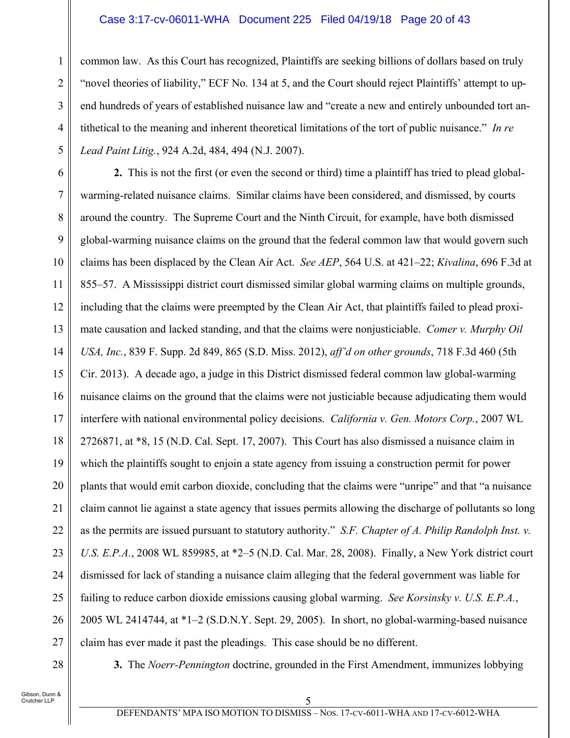#### Case 3:17-cv-06011-WHA Document 225 Filed 04/19/18 Page 20 of 43

common law. As this Court has recognized, Plaintiffs are seeking billions of dollars based on truly "novel theories of liability," ECF No. 134 at 5, and the Court should reject Plaintiffs' attempt to upend hundreds of years of established nuisance law and "create a new and entirely unbounded tort antithetical to the meaning and inherent theoretical limitations of the tort of public nuisance." *In re Lead Paint Litig.*, 924 A.2d, 484, 494 (N.J. 2007).

6 7 8 9 10 11 12 13 14 15 16 17 18 19 20 21 22 23 24 25 26 27 **2.** This is not the first (or even the second or third) time a plaintiff has tried to plead globalwarming-related nuisance claims. Similar claims have been considered, and dismissed, by courts around the country. The Supreme Court and the Ninth Circuit, for example, have both dismissed global-warming nuisance claims on the ground that the federal common law that would govern such claims has been displaced by the Clean Air Act. *See AEP*, 564 U.S. at 421–22; *Kivalina*, 696 F.3d at 855–57. A Mississippi district court dismissed similar global warming claims on multiple grounds, including that the claims were preempted by the Clean Air Act, that plaintiffs failed to plead proximate causation and lacked standing, and that the claims were nonjusticiable. *Comer v. Murphy Oil USA, Inc.*, 839 F. Supp. 2d 849, 865 (S.D. Miss. 2012), *aff'd on other grounds*, 718 F.3d 460 (5th Cir. 2013). A decade ago, a judge in this District dismissed federal common law global-warming nuisance claims on the ground that the claims were not justiciable because adjudicating them would interfere with national environmental policy decisions. *California v. Gen. Motors Corp.*, 2007 WL 2726871, at \*8, 15 (N.D. Cal. Sept. 17, 2007). This Court has also dismissed a nuisance claim in which the plaintiffs sought to enjoin a state agency from issuing a construction permit for power plants that would emit carbon dioxide, concluding that the claims were "unripe" and that "a nuisance claim cannot lie against a state agency that issues permits allowing the discharge of pollutants so long as the permits are issued pursuant to statutory authority." *S.F. Chapter of A. Philip Randolph Inst. v. U.S. E.P.A.*, 2008 WL 859985, at \*2–5 (N.D. Cal. Mar. 28, 2008). Finally, a New York district court dismissed for lack of standing a nuisance claim alleging that the federal government was liable for failing to reduce carbon dioxide emissions causing global warming. *See Korsinsky v. U.S. E.P.A.*, 2005 WL 2414744, at \*1–2 (S.D.N.Y. Sept. 29, 2005). In short, no global-warming-based nuisance claim has ever made it past the pleadings. This case should be no different.

28

1

2

3

4

5

**3.** The *Noerr-Pennington* doctrine, grounded in the First Amendment, immunizes lobbying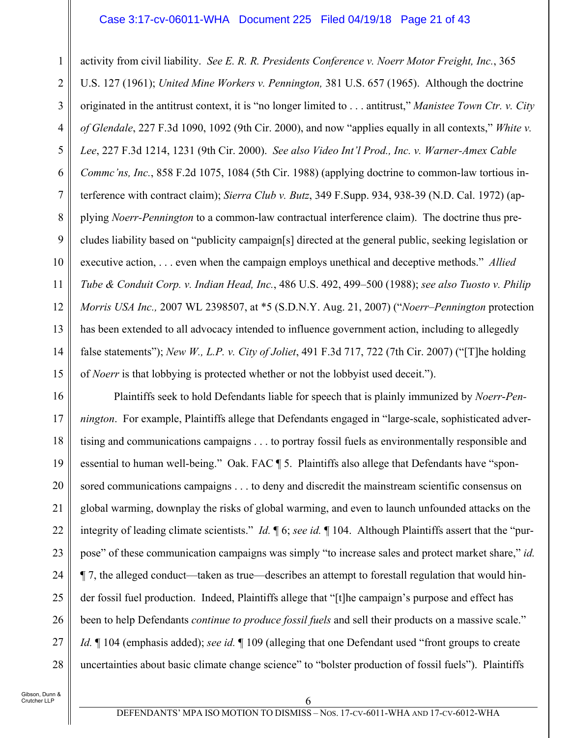#### Case 3:17-cv-06011-WHA Document 225 Filed 04/19/18 Page 21 of 43

1 2 3 4 5 6 7 8 9 10 11 12 13 14 15 activity from civil liability. *See E. R. R. Presidents Conference v. Noerr Motor Freight, Inc.*, 365 U.S. 127 (1961); *United Mine Workers v. Pennington,* 381 U.S. 657 (1965). Although the doctrine originated in the antitrust context, it is "no longer limited to . . . antitrust," *Manistee Town Ctr. v. City of Glendale*, 227 F.3d 1090, 1092 (9th Cir. 2000), and now "applies equally in all contexts," *White v. Lee*, 227 F.3d 1214, 1231 (9th Cir. 2000). *See also Video Int'l Prod., Inc. v. Warner-Amex Cable Commc'ns, Inc.*, 858 F.2d 1075, 1084 (5th Cir. 1988) (applying doctrine to common-law tortious interference with contract claim); *Sierra Club v. Butz*, 349 F.Supp. 934, 938-39 (N.D. Cal. 1972) (applying *Noerr-Pennington* to a common-law contractual interference claim). The doctrine thus precludes liability based on "publicity campaign[s] directed at the general public, seeking legislation or executive action, . . . even when the campaign employs unethical and deceptive methods." *Allied Tube & Conduit Corp. v. Indian Head, Inc.*, 486 U.S. 492, 499–500 (1988); *see also Tuosto v. Philip Morris USA Inc.,* 2007 WL 2398507, at \*5 (S.D.N.Y. Aug. 21, 2007) ("*Noerr*–*Pennington* protection has been extended to all advocacy intended to influence government action, including to allegedly false statements"); *New W., L.P. v. City of Joliet*, 491 F.3d 717, 722 (7th Cir. 2007) ("[T]he holding of *Noerr* is that lobbying is protected whether or not the lobbyist used deceit.").

16 17 18 19 20 21 22 23 24 25 26 27 28 Plaintiffs seek to hold Defendants liable for speech that is plainly immunized by *Noerr*-*Pennington*. For example, Plaintiffs allege that Defendants engaged in "large-scale, sophisticated advertising and communications campaigns . . . to portray fossil fuels as environmentally responsible and essential to human well-being." Oak. FAC ¶ 5. Plaintiffs also allege that Defendants have "sponsored communications campaigns . . . to deny and discredit the mainstream scientific consensus on global warming, downplay the risks of global warming, and even to launch unfounded attacks on the integrity of leading climate scientists." *Id.* ¶ 6; *see id.* ¶ 104. Although Plaintiffs assert that the "purpose" of these communication campaigns was simply "to increase sales and protect market share," *id.* ¶ 7, the alleged conduct—taken as true—describes an attempt to forestall regulation that would hinder fossil fuel production. Indeed, Plaintiffs allege that "[t]he campaign's purpose and effect has been to help Defendants *continue to produce fossil fuels* and sell their products on a massive scale." *Id.* ¶ 104 (emphasis added); *see id.* ¶ 109 (alleging that one Defendant used "front groups to create uncertainties about basic climate change science" to "bolster production of fossil fuels"). Plaintiffs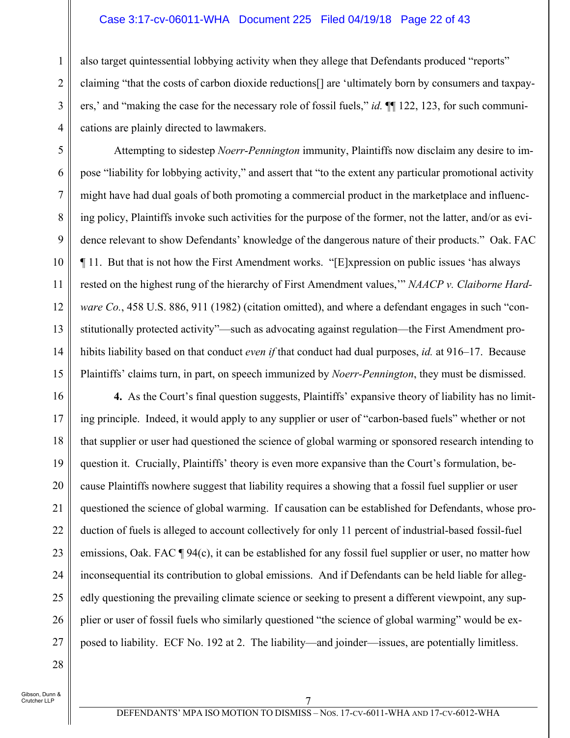#### Case 3:17-cv-06011-WHA Document 225 Filed 04/19/18 Page 22 of 43

also target quintessential lobbying activity when they allege that Defendants produced "reports" claiming "that the costs of carbon dioxide reductions[] are 'ultimately born by consumers and taxpayers,' and "making the case for the necessary role of fossil fuels," *id.* ¶¶ 122, 123, for such communications are plainly directed to lawmakers.

Attempting to sidestep *Noerr*-*Pennington* immunity, Plaintiffs now disclaim any desire to impose "liability for lobbying activity," and assert that "to the extent any particular promotional activity might have had dual goals of both promoting a commercial product in the marketplace and influencing policy, Plaintiffs invoke such activities for the purpose of the former, not the latter, and/or as evidence relevant to show Defendants' knowledge of the dangerous nature of their products." Oak. FAC ¶ 11. But that is not how the First Amendment works. "[E]xpression on public issues 'has always rested on the highest rung of the hierarchy of First Amendment values,'" *NAACP v. Claiborne Hardware Co.*, 458 U.S. 886, 911 (1982) (citation omitted), and where a defendant engages in such "constitutionally protected activity"—such as advocating against regulation—the First Amendment prohibits liability based on that conduct *even if* that conduct had dual purposes, *id.* at 916–17. Because Plaintiffs' claims turn, in part, on speech immunized by *Noerr-Pennington*, they must be dismissed.

16 17 18 19 20 21 22 23 24 25 26 27 **4.** As the Court's final question suggests, Plaintiffs' expansive theory of liability has no limiting principle. Indeed, it would apply to any supplier or user of "carbon-based fuels" whether or not that supplier or user had questioned the science of global warming or sponsored research intending to question it. Crucially, Plaintiffs' theory is even more expansive than the Court's formulation, because Plaintiffs nowhere suggest that liability requires a showing that a fossil fuel supplier or user questioned the science of global warming. If causation can be established for Defendants, whose production of fuels is alleged to account collectively for only 11 percent of industrial-based fossil-fuel emissions, Oak. FAC ¶ 94(c), it can be established for any fossil fuel supplier or user, no matter how inconsequential its contribution to global emissions. And if Defendants can be held liable for allegedly questioning the prevailing climate science or seeking to present a different viewpoint, any supplier or user of fossil fuels who similarly questioned "the science of global warming" would be exposed to liability. ECF No. 192 at 2. The liability—and joinder—issues, are potentially limitless.

28

1

2

3

4

5

6

7

8

9

10

11

12

13

14

15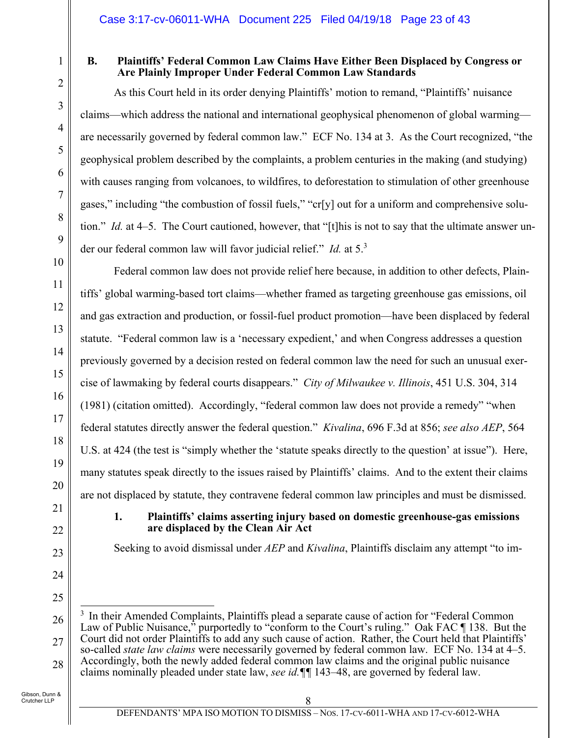1

2

3

4

5

6

7

8

9

10

11

12

13

14

15

16

17

18

19

20

21

22

23

24

25

# **B. Plaintiffs' Federal Common Law Claims Have Either Been Displaced by Congress or Are Plainly Improper Under Federal Common Law Standards**

As this Court held in its order denying Plaintiffs' motion to remand, "Plaintiffs' nuisance claims—which address the national and international geophysical phenomenon of global warming are necessarily governed by federal common law." ECF No. 134 at 3. As the Court recognized, "the geophysical problem described by the complaints, a problem centuries in the making (and studying) with causes ranging from volcanoes, to wildfires, to deforestation to stimulation of other greenhouse gases," including "the combustion of fossil fuels," "cr[y] out for a uniform and comprehensive solution." *Id.* at 4–5. The Court cautioned, however, that "[t]his is not to say that the ultimate answer under our federal common law will favor judicial relief." *Id.* at 5.3

Federal common law does not provide relief here because, in addition to other defects, Plaintiffs' global warming-based tort claims—whether framed as targeting greenhouse gas emissions, oil and gas extraction and production, or fossil-fuel product promotion—have been displaced by federal statute. "Federal common law is a 'necessary expedient,' and when Congress addresses a question previously governed by a decision rested on federal common law the need for such an unusual exercise of lawmaking by federal courts disappears." *City of Milwaukee v. Illinois*, 451 U.S. 304, 314 (1981) (citation omitted). Accordingly, "federal common law does not provide a remedy" "when federal statutes directly answer the federal question." *Kivalina*, 696 F.3d at 856; *see also AEP*, 564 U.S. at 424 (the test is "simply whether the 'statute speaks directly to the question' at issue"). Here, many statutes speak directly to the issues raised by Plaintiffs' claims. And to the extent their claims are not displaced by statute, they contravene federal common law principles and must be dismissed.

# **1. Plaintiffs' claims asserting injury based on domestic greenhouse-gas emissions are displaced by the Clean Air Act**

Seeking to avoid dismissal under *AEP* and *Kivalina*, Plaintiffs disclaim any attempt "to im-

<sup>26</sup> 27 28  $\overline{a}$ <sup>3</sup> In their Amended Complaints, Plaintiffs plead a separate cause of action for "Federal Common Law of Public Nuisance," purportedly to "conform to the Court's ruling." Oak FAC \in 138. But the Court did not order Plaintiffs to add any such cause of action. Rather, the Court held that Plaintiffs' so-called *state law claims* were necessarily governed by federal common law. ECF No. 134 at 4–5. Accordingly, both the newly added federal common law claims and the original public nuisance claims nominally pleaded under state law, *see id.¶¶* 143–48, are governed by federal law.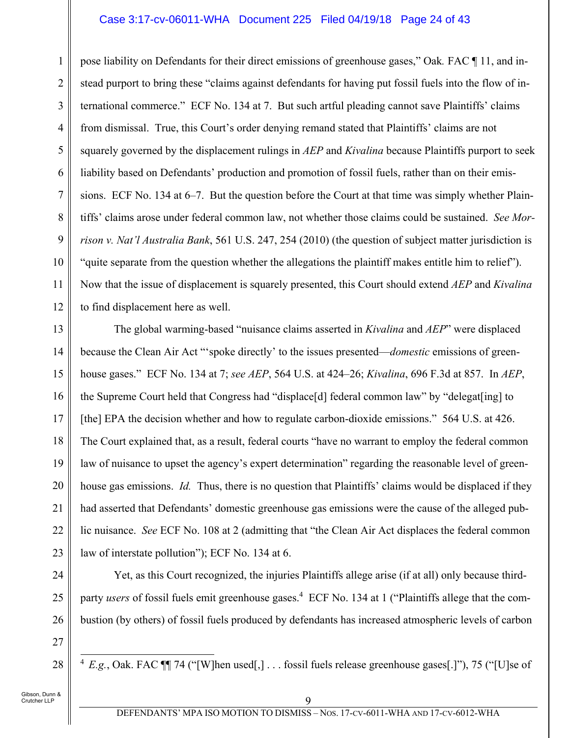#### Case 3:17-cv-06011-WHA Document 225 Filed 04/19/18 Page 24 of 43

1 2 3 4 5 6 7 8 9 10 11 12 pose liability on Defendants for their direct emissions of greenhouse gases," Oak*.* FAC ¶ 11, and instead purport to bring these "claims against defendants for having put fossil fuels into the flow of international commerce." ECF No. 134 at 7. But such artful pleading cannot save Plaintiffs' claims from dismissal. True, this Court's order denying remand stated that Plaintiffs' claims are not squarely governed by the displacement rulings in *AEP* and *Kivalina* because Plaintiffs purport to seek liability based on Defendants' production and promotion of fossil fuels, rather than on their emissions. ECF No. 134 at 6–7. But the question before the Court at that time was simply whether Plaintiffs' claims arose under federal common law, not whether those claims could be sustained. *See Morrison v. Nat'l Australia Bank*, 561 U.S. 247, 254 (2010) (the question of subject matter jurisdiction is "quite separate from the question whether the allegations the plaintiff makes entitle him to relief"). Now that the issue of displacement is squarely presented, this Court should extend *AEP* and *Kivalina*  to find displacement here as well.

13 14 15 16 17 18 19 20 21 22 23 The global warming-based "nuisance claims asserted in *Kivalina* and *AEP*" were displaced because the Clean Air Act "'spoke directly' to the issues presented—*domestic* emissions of greenhouse gases." ECF No. 134 at 7; *see AEP*, 564 U.S. at 424–26; *Kivalina*, 696 F.3d at 857. In *AEP*, the Supreme Court held that Congress had "displace[d] federal common law" by "delegat[ing] to [the] EPA the decision whether and how to regulate carbon-dioxide emissions." 564 U.S. at 426. The Court explained that, as a result, federal courts "have no warrant to employ the federal common law of nuisance to upset the agency's expert determination" regarding the reasonable level of greenhouse gas emissions. *Id.* Thus, there is no question that Plaintiffs' claims would be displaced if they had asserted that Defendants' domestic greenhouse gas emissions were the cause of the alleged public nuisance. *See* ECF No. 108 at 2 (admitting that "the Clean Air Act displaces the federal common law of interstate pollution"); ECF No. 134 at 6.

24 25 26 Yet, as this Court recognized, the injuries Plaintiffs allege arise (if at all) only because thirdparty *users* of fossil fuels emit greenhouse gases.<sup>4</sup> ECF No. 134 at 1 ("Plaintiffs allege that the combustion (by others) of fossil fuels produced by defendants has increased atmospheric levels of carbon

 $\overline{\phantom{a}}$  $4$  *E.g.*, Oak. FAC  $\P$  74 ("[W]hen used[,] . . . fossil fuels release greenhouse gases[.]"), 75 ("[U]se of

27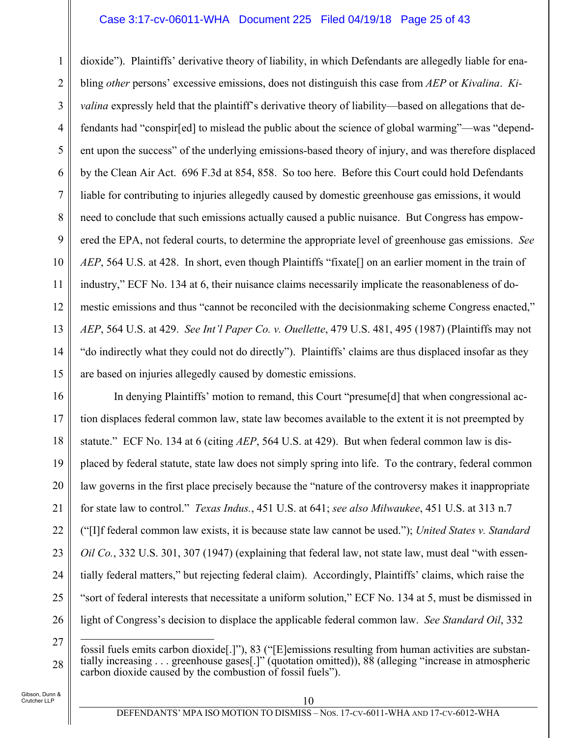#### Case 3:17-cv-06011-WHA Document 225 Filed 04/19/18 Page 25 of 43

1 2 3 4 5 6 7 8 9 10 11 12 13 14 15 dioxide"). Plaintiffs' derivative theory of liability, in which Defendants are allegedly liable for enabling *other* persons' excessive emissions, does not distinguish this case from *AEP* or *Kivalina*. *Kivalina* expressly held that the plaintiff's derivative theory of liability—based on allegations that defendants had "conspir[ed] to mislead the public about the science of global warming"—was "dependent upon the success" of the underlying emissions-based theory of injury, and was therefore displaced by the Clean Air Act. 696 F.3d at 854, 858. So too here. Before this Court could hold Defendants liable for contributing to injuries allegedly caused by domestic greenhouse gas emissions, it would need to conclude that such emissions actually caused a public nuisance. But Congress has empowered the EPA, not federal courts, to determine the appropriate level of greenhouse gas emissions. *See AEP*, 564 U.S. at 428. In short, even though Plaintiffs "fixate<sup>[]</sup> on an earlier moment in the train of industry," ECF No. 134 at 6, their nuisance claims necessarily implicate the reasonableness of domestic emissions and thus "cannot be reconciled with the decisionmaking scheme Congress enacted," *AEP*, 564 U.S. at 429. *See Int'l Paper Co. v. Ouellette*, 479 U.S. 481, 495 (1987) (Plaintiffs may not "do indirectly what they could not do directly"). Plaintiffs' claims are thus displaced insofar as they are based on injuries allegedly caused by domestic emissions.

16 17 18 19 20 21 22 23 24 25 26 In denying Plaintiffs' motion to remand, this Court "presume[d] that when congressional action displaces federal common law, state law becomes available to the extent it is not preempted by statute." ECF No. 134 at 6 (citing *AEP*, 564 U.S. at 429). But when federal common law is displaced by federal statute, state law does not simply spring into life. To the contrary, federal common law governs in the first place precisely because the "nature of the controversy makes it inappropriate for state law to control." *Texas Indus.*, 451 U.S. at 641; *see also Milwaukee*, 451 U.S. at 313 n.7 ("[I]f federal common law exists, it is because state law cannot be used."); *United States v. Standard Oil Co.*, 332 U.S. 301, 307 (1947) (explaining that federal law, not state law, must deal "with essentially federal matters," but rejecting federal claim). Accordingly, Plaintiffs' claims, which raise the "sort of federal interests that necessitate a uniform solution," ECF No. 134 at 5, must be dismissed in light of Congress's decision to displace the applicable federal common law. *See Standard Oil*, 332

<sup>27</sup> 28  $\overline{a}$ fossil fuels emits carbon dioxide[.]"), 83 ("[E]emissions resulting from human activities are substantially increasing . . . greenhouse gases[.]" (quotation omitted)), 88 (alleging "increase in atmospheric carbon dioxide caused by the combustion of fossil fuels").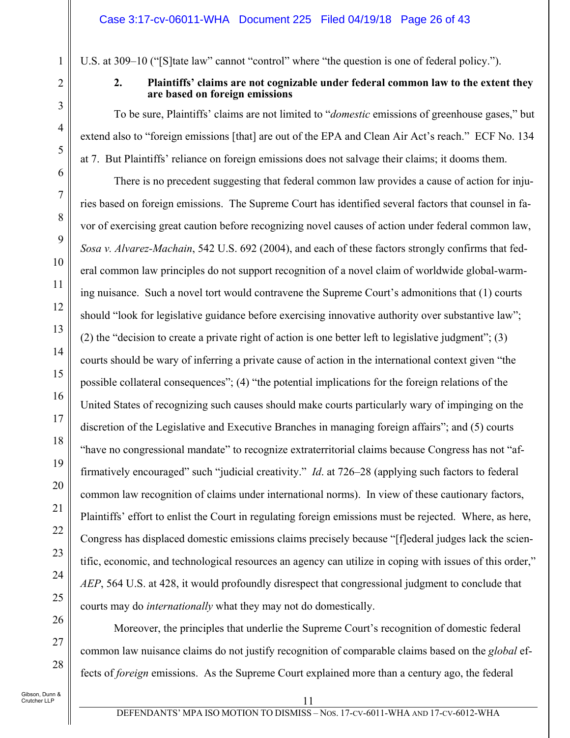U.S. at 309–10 ("[S]tate law" cannot "control" where "the question is one of federal policy.").

1

2

3

4

5

6

7

8

9

10

11

12

13

14

15

16

17

18

19

20

21

22

23

24

25

#### **2. Plaintiffs' claims are not cognizable under federal common law to the extent they are based on foreign emissions**

To be sure, Plaintiffs' claims are not limited to "*domestic* emissions of greenhouse gases," but extend also to "foreign emissions [that] are out of the EPA and Clean Air Act's reach." ECF No. 134 at 7. But Plaintiffs' reliance on foreign emissions does not salvage their claims; it dooms them.

There is no precedent suggesting that federal common law provides a cause of action for injuries based on foreign emissions. The Supreme Court has identified several factors that counsel in favor of exercising great caution before recognizing novel causes of action under federal common law, *Sosa v. Alvarez-Machain*, 542 U.S. 692 (2004), and each of these factors strongly confirms that federal common law principles do not support recognition of a novel claim of worldwide global-warming nuisance. Such a novel tort would contravene the Supreme Court's admonitions that (1) courts should "look for legislative guidance before exercising innovative authority over substantive law"; (2) the "decision to create a private right of action is one better left to legislative judgment"; (3) courts should be wary of inferring a private cause of action in the international context given "the possible collateral consequences"; (4) "the potential implications for the foreign relations of the United States of recognizing such causes should make courts particularly wary of impinging on the discretion of the Legislative and Executive Branches in managing foreign affairs"; and (5) courts "have no congressional mandate" to recognize extraterritorial claims because Congress has not "affirmatively encouraged" such "judicial creativity." *Id*. at 726–28 (applying such factors to federal common law recognition of claims under international norms). In view of these cautionary factors, Plaintiffs' effort to enlist the Court in regulating foreign emissions must be rejected. Where, as here, Congress has displaced domestic emissions claims precisely because "[f]ederal judges lack the scientific, economic, and technological resources an agency can utilize in coping with issues of this order," *AEP*, 564 U.S. at 428, it would profoundly disrespect that congressional judgment to conclude that courts may do *internationally* what they may not do domestically.

26 27 28

Gibson, Dunn & Crutcher LLP

common law nuisance claims do not justify recognition of comparable claims based on the *global* ef-

fects of *foreign* emissions. As the Supreme Court explained more than a century ago, the federal

Moreover, the principles that underlie the Supreme Court's recognition of domestic federal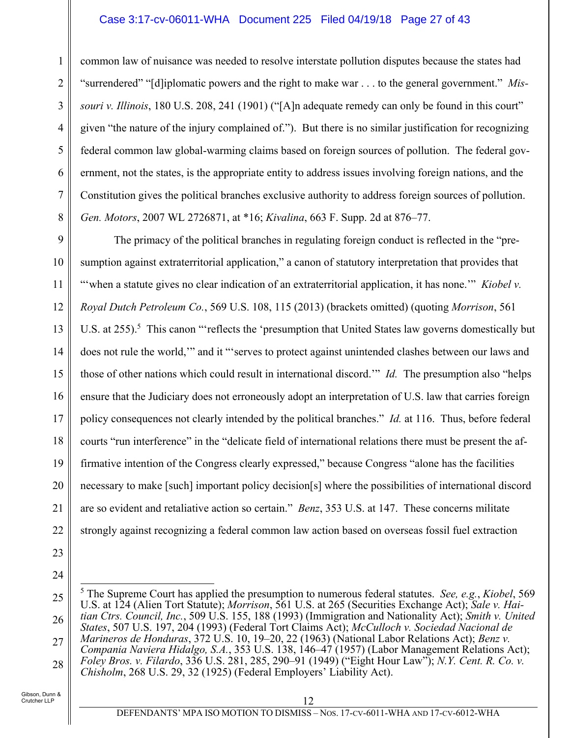#### Case 3:17-cv-06011-WHA Document 225 Filed 04/19/18 Page 27 of 43

common law of nuisance was needed to resolve interstate pollution disputes because the states had "surrendered" "[d]iplomatic powers and the right to make war . . . to the general government." *Missouri v. Illinois*, 180 U.S. 208, 241 (1901) ("[A]n adequate remedy can only be found in this court" given "the nature of the injury complained of."). But there is no similar justification for recognizing federal common law global-warming claims based on foreign sources of pollution. The federal government, not the states, is the appropriate entity to address issues involving foreign nations, and the Constitution gives the political branches exclusive authority to address foreign sources of pollution. *Gen. Motors*, 2007 WL 2726871, at \*16; *Kivalina*, 663 F. Supp. 2d at 876–77.

9 10 11 12 13 14 15 16 17 18 19 20 21 22 The primacy of the political branches in regulating foreign conduct is reflected in the "presumption against extraterritorial application," a canon of statutory interpretation that provides that "when a statute gives no clear indication of an extraterritorial application, it has none."" *Kiobel v. Royal Dutch Petroleum Co.*, 569 U.S. 108, 115 (2013) (brackets omitted) (quoting *Morrison*, 561 U.S. at 255).<sup>5</sup> This canon "reflects the 'presumption that United States law governs domestically but does not rule the world,'" and it "'serves to protect against unintended clashes between our laws and those of other nations which could result in international discord.'" *Id.* The presumption also "helps ensure that the Judiciary does not erroneously adopt an interpretation of U.S. law that carries foreign policy consequences not clearly intended by the political branches." *Id.* at 116. Thus, before federal courts "run interference" in the "delicate field of international relations there must be present the affirmative intention of the Congress clearly expressed," because Congress "alone has the facilities necessary to make [such] important policy decision[s] where the possibilities of international discord are so evident and retaliative action so certain." *Benz*, 353 U.S. at 147. These concerns militate strongly against recognizing a federal common law action based on overseas fossil fuel extraction

23

1

2

3

4

5

6

7

8

<sup>25</sup> 26 27 28 5 The Supreme Court has applied the presumption to numerous federal statutes. *See, e.g.*, *Kiobel*, 569 U.S. at 124 (Alien Tort Statute); *Morrison*, 561 U.S. at 265 (Securities Exchange Act); *Sale v. Haitian Ctrs. Council, Inc.*, 509 U.S. 155, 188 (1993) (Immigration and Nationality Act); *Smith v. United States*, 507 U.S. 197, 204 (1993) (Federal Tort Claims Act); *McCulloch v. Sociedad Nacional de Marineros de Honduras*, 372 U.S. 10, 19–20, 22 (1963) (National Labor Relations Act); *Benz v. Compania Naviera Hidalgo, S.A.*, 353 U.S. 138, 146–47 (1957) (Labor Management Relations Act); *Foley Bros. v. Filardo*, 336 U.S. 281, 285, 290–91 (1949) ("Eight Hour Law"); *N.Y. Cent. R. Co. v. Chisholm*, 268 U.S. 29, 32 (1925) (Federal Employers' Liability Act).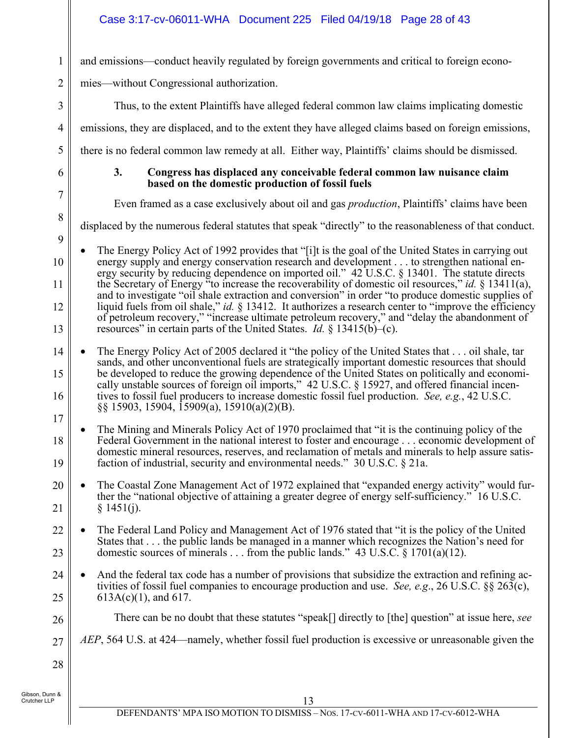# Case 3:17-cv-06011-WHA Document 225 Filed 04/19/18 Page 28 of 43

and emissions—conduct heavily regulated by foreign governments and critical to foreign econo-

mies—without Congressional authorization.

Thus, to the extent Plaintiffs have alleged federal common law claims implicating domestic

emissions, they are displaced, and to the extent they have alleged claims based on foreign emissions,

there is no federal common law remedy at all. Either way, Plaintiffs' claims should be dismissed.

6

1

2

3

4

5

7

8

#### **3. Congress has displaced any conceivable federal common law nuisance claim based on the domestic production of fossil fuels**

Even framed as a case exclusively about oil and gas *production*, Plaintiffs' claims have been

displaced by the numerous federal statutes that speak "directly" to the reasonableness of that conduct.

9

10 11 12 13 The Energy Policy Act of 1992 provides that "[i]t is the goal of the United States in carrying out energy supply and energy conservation research and development . . . to strengthen national energy security by reducing dependence on imported oil." 42 U.S.C. § 13401. The statute directs the Secretary of Energy "to increase the recoverability of domestic oil resources," *id.* § 13411(a), and to investigate "oil shale extraction and conversion" in order "to produce domestic supplies of liquid fuels from oil shale," *id.* § 13412. It authorizes a research center to "improve the efficiency of petroleum recovery," "increase ultimate petroleum recovery," and "delay the abandonment of resources" in certain parts of the United States. *Id.* § 13415(b)–(c).

14 15 16 17 The Energy Policy Act of 2005 declared it "the policy of the United States that . . . oil shale, tar sands, and other unconventional fuels are strategically important domestic resources that should be developed to reduce the growing dependence of the United States on politically and economically unstable sources of foreign oil imports," 42 U.S.C. § 15927, and offered financial incentives to fossil fuel producers to increase domestic fossil fuel production. *See, e.g.*, 42 U.S.C. §§ 15903, 15904, 15909(a), 15910(a)(2)(B).

18 19 The Mining and Minerals Policy Act of 1970 proclaimed that "it is the continuing policy of the Federal Government in the national interest to foster and encourage . . . economic development of domestic mineral resources, reserves, and reclamation of metals and minerals to help assure satisfaction of industrial, security and environmental needs." 30 U.S.C. § 21a.

20 21 The Coastal Zone Management Act of 1972 explained that "expanded energy activity" would further the "national objective of attaining a greater degree of energy self-sufficiency." 16 U.S.C.  $§ 1451(i).$ 

22 23 The Federal Land Policy and Management Act of 1976 stated that "it is the policy of the United States that . . . the public lands be managed in a manner which recognizes the Nation's need for domestic sources of minerals . . . from the public lands." 43 U.S.C. § 1701(a)(12).

- 24 25 And the federal tax code has a number of provisions that subsidize the extraction and refining activities of fossil fuel companies to encourage production and use. *See, e.g*., 26 U.S.C. §§ 263(c), 613A(c)(1), and 617.
	- There can be no doubt that these statutes "speak[] directly to [the] question" at issue here, *see*
- 27 *AEP*, 564 U.S. at 424—namely, whether fossil fuel production is excessive or unreasonable given the

28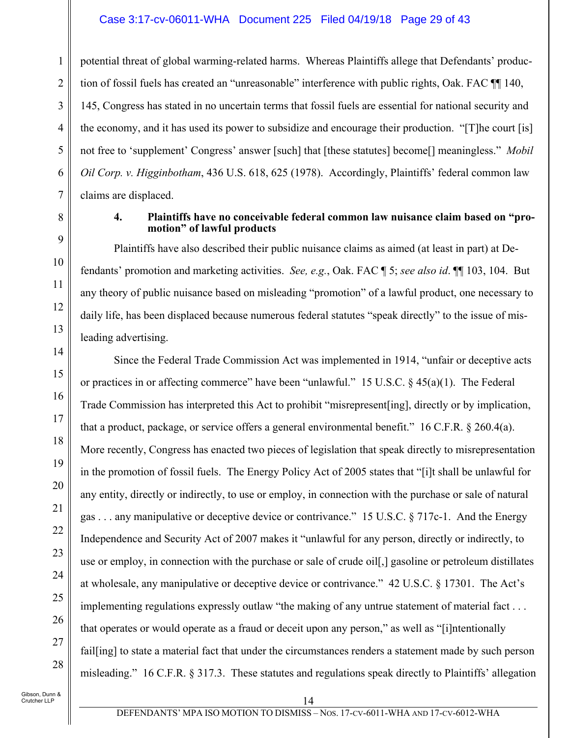#### Case 3:17-cv-06011-WHA Document 225 Filed 04/19/18 Page 29 of 43

potential threat of global warming-related harms. Whereas Plaintiffs allege that Defendants' production of fossil fuels has created an "unreasonable" interference with public rights, Oak. FAC ¶¶ 140, 145, Congress has stated in no uncertain terms that fossil fuels are essential for national security and the economy, and it has used its power to subsidize and encourage their production. "[T]he court [is] not free to 'supplement' Congress' answer [such] that [these statutes] become[] meaningless." *Mobil Oil Corp. v. Higginbotham*, 436 U.S. 618, 625 (1978). Accordingly, Plaintiffs' federal common law claims are displaced.

#### **4. Plaintiffs have no conceivable federal common law nuisance claim based on "promotion" of lawful products**

Plaintiffs have also described their public nuisance claims as aimed (at least in part) at Defendants' promotion and marketing activities. *See, e.g.*, Oak. FAC ¶ 5; *see also id*. ¶¶ 103, 104. But any theory of public nuisance based on misleading "promotion" of a lawful product, one necessary to daily life, has been displaced because numerous federal statutes "speak directly" to the issue of misleading advertising.

Since the Federal Trade Commission Act was implemented in 1914, "unfair or deceptive acts or practices in or affecting commerce" have been "unlawful." 15 U.S.C. § 45(a)(1). The Federal Trade Commission has interpreted this Act to prohibit "misrepresent[ing], directly or by implication, that a product, package, or service offers a general environmental benefit." 16 C.F.R. § 260.4(a). More recently, Congress has enacted two pieces of legislation that speak directly to misrepresentation in the promotion of fossil fuels. The Energy Policy Act of 2005 states that "[i]t shall be unlawful for any entity, directly or indirectly, to use or employ, in connection with the purchase or sale of natural gas . . . any manipulative or deceptive device or contrivance." 15 U.S.C. § 717c-1. And the Energy Independence and Security Act of 2007 makes it "unlawful for any person, directly or indirectly, to use or employ, in connection with the purchase or sale of crude oil[,] gasoline or petroleum distillates at wholesale, any manipulative or deceptive device or contrivance." 42 U.S.C. § 17301. The Act's implementing regulations expressly outlaw "the making of any untrue statement of material fact . . . that operates or would operate as a fraud or deceit upon any person," as well as "[i]ntentionally fail<sup>[ing]</sup> to state a material fact that under the circumstances renders a statement made by such person misleading." 16 C.F.R. § 317.3. These statutes and regulations speak directly to Plaintiffs' allegation

1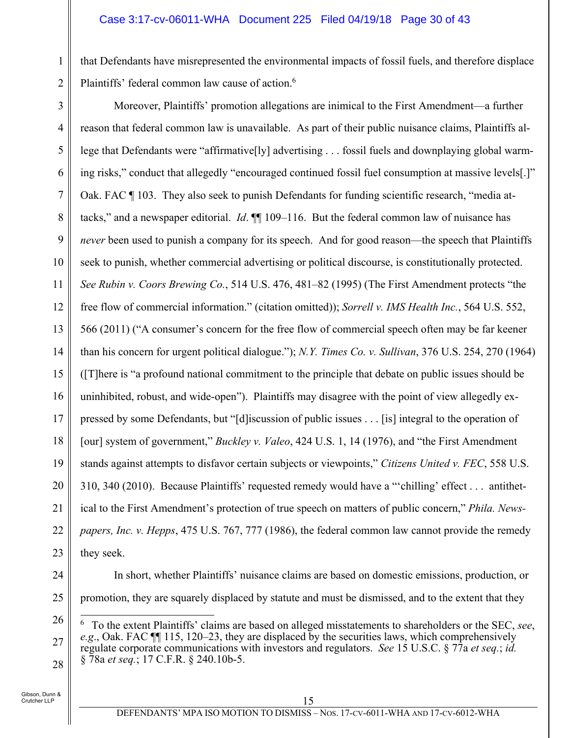that Defendants have misrepresented the environmental impacts of fossil fuels, and therefore displace Plaintiffs' federal common law cause of action.<sup>6</sup>

3

1

2

4 5 6 7 8 9 10 11 12 13 14 15 16 17 18 19 20 21 22 23 Moreover, Plaintiffs' promotion allegations are inimical to the First Amendment—a further reason that federal common law is unavailable. As part of their public nuisance claims, Plaintiffs allege that Defendants were "affirmative[ly] advertising . . . fossil fuels and downplaying global warming risks," conduct that allegedly "encouraged continued fossil fuel consumption at massive levels[.]" Oak. FAC ¶ 103. They also seek to punish Defendants for funding scientific research, "media attacks," and a newspaper editorial. *Id*. ¶¶ 109–116. But the federal common law of nuisance has *never* been used to punish a company for its speech. And for good reason—the speech that Plaintiffs seek to punish, whether commercial advertising or political discourse, is constitutionally protected. *See Rubin v. Coors Brewing Co.*, 514 U.S. 476, 481–82 (1995) (The First Amendment protects "the free flow of commercial information." (citation omitted)); *Sorrell v. IMS Health Inc.*, 564 U.S. 552, 566 (2011) ("A consumer's concern for the free flow of commercial speech often may be far keener than his concern for urgent political dialogue."); *N.Y. Times Co. v. Sullivan*, 376 U.S. 254, 270 (1964) ([T]here is "a profound national commitment to the principle that debate on public issues should be uninhibited, robust, and wide-open"). Plaintiffs may disagree with the point of view allegedly expressed by some Defendants, but "[d]iscussion of public issues . . . [is] integral to the operation of [our] system of government," *Buckley v. Valeo*, 424 U.S. 1, 14 (1976), and "the First Amendment stands against attempts to disfavor certain subjects or viewpoints," *Citizens United v. FEC*, 558 U.S. 310, 340 (2010). Because Plaintiffs' requested remedy would have a "'chilling' effect . . . antithetical to the First Amendment's protection of true speech on matters of public concern," *Phila. Newspapers, Inc. v. Hepps*, 475 U.S. 767, 777 (1986), the federal common law cannot provide the remedy they seek.

24

25

In short, whether Plaintiffs' nuisance claims are based on domestic emissions, production, or promotion, they are squarely displaced by statute and must be dismissed, and to the extent that they

<sup>26</sup> 27 28  $\overline{a}$ 6 To the extent Plaintiffs' claims are based on alleged misstatements to shareholders or the SEC, *see*, *e.g*., Oak. FAC ¶¶ 115, 120–23, they are displaced by the securities laws, which comprehensively regulate corporate communications with investors and regulators. *See* 15 U.S.C. § 77a *et seq.*; *id.*  § 78a *et seq.*; 17 C.F.R. § 240.10b-5.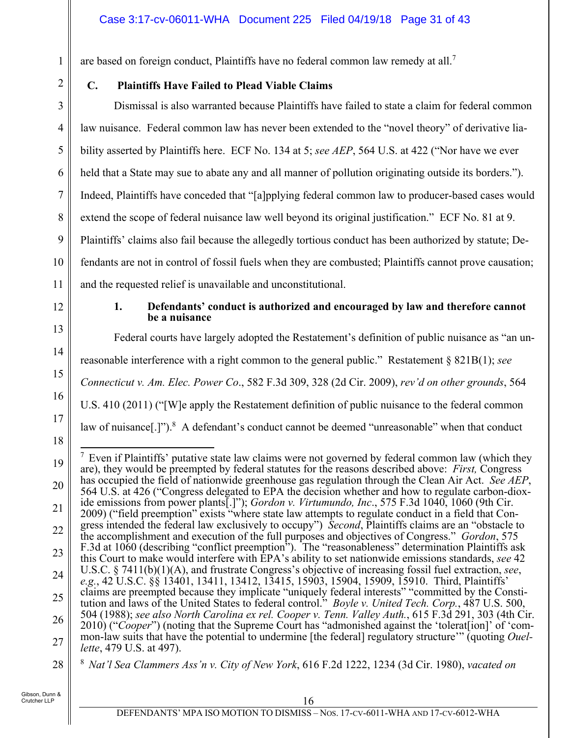are based on foreign conduct, Plaintiffs have no federal common law remedy at all.<sup>7</sup>

# **C. Plaintiffs Have Failed to Plead Viable Claims**

3 4 5 6 7 8 9 10 Dismissal is also warranted because Plaintiffs have failed to state a claim for federal common law nuisance. Federal common law has never been extended to the "novel theory" of derivative liability asserted by Plaintiffs here. ECF No. 134 at 5; *see AEP*, 564 U.S. at 422 ("Nor have we ever held that a State may sue to abate any and all manner of pollution originating outside its borders."). Indeed, Plaintiffs have conceded that "[a]pplying federal common law to producer-based cases would extend the scope of federal nuisance law well beyond its original justification." ECF No. 81 at 9. Plaintiffs' claims also fail because the allegedly tortious conduct has been authorized by statute; Defendants are not in control of fossil fuels when they are combusted; Plaintiffs cannot prove causation; and the requested relief is unavailable and unconstitutional.

11 12

13

14

15

16

17

18

1

2

#### **1. Defendants' conduct is authorized and encouraged by law and therefore cannot be a nuisance**

Federal courts have largely adopted the Restatement's definition of public nuisance as "an un-

reasonable interference with a right common to the general public." Restatement § 821B(1); *see* 

*Connecticut v. Am. Elec. Power Co*., 582 F.3d 309, 328 (2d Cir. 2009), *rev'd on other grounds*, 564

U.S. 410 (2011) ("[W]e apply the Restatement definition of public nuisance to the federal common

law of nuisance $[.]$ ").<sup>8</sup> A defendant's conduct cannot be deemed "unreasonable" when that conduct

<sup>19</sup> 20 21 22 23 24 25 26 27 28  $\frac{7}{7}$  Even if Plaintiffs' putative state law claims were not governed by federal common law (which they are), they would be preempted by federal statutes for the reasons described above: *First,* Congress has occupied the field of nationwide greenhouse gas regulation through the Clean Air Act. *See AEP*, 564 U.S. at 426 ("Congress delegated to EPA the decision whether and how to regulate carbon-dioxide emissions from power plants[.]"); *Gordon v. Virtumundo, Inc*., 575 F.3d 1040, 1060 (9th Cir. 2009) ("field preemption" exists "where state law attempts to regulate conduct in a field that Congress intended the federal law exclusively to occupy") *Second*, Plaintiffs claims are an "obstacle to the accomplishment and execution of the full purposes and objectives of Congress." *Gordon*, 575 F.3d at 1060 (describing "conflict preemption"). The "reasonableness" determination Plaintiffs ask this Court to make would interfere with EPA's ability to set nationwide emissions standards, *see* 42 U.S.C. § 7411(b)(1)(A), and frustrate Congress's objective of increasing fossil fuel extraction, *see*, *e.g.*, 42 U.S.C. §§ 13401, 13411, 13412, 13415, 15903, 15904, 15909, 15910. Third, Plaintiffs' claims are preempted because they implicate "uniquely federal interests" "committed by the Constitution and laws of the United States to federal control." *Boyle v. United Tech. Corp.*, 487 U.S. 500, 504 (1988); *see also North Carolina ex rel. Cooper v. Tenn. Valley Auth.*, 615 F.3d 291, 303 (4th Cir. 2010) ("*Cooper*") (noting that the Supreme Court has "admonished against the 'tolerat[ion]' of 'common-law suits that have the potential to undermine [the federal] regulatory structure'" (quoting *Ouellette*, 479 U.S. at 497).

<sup>8</sup> *Nat'l Sea Clammers Ass'n v. City of New York*, 616 F.2d 1222, 1234 (3d Cir. 1980), *vacated on*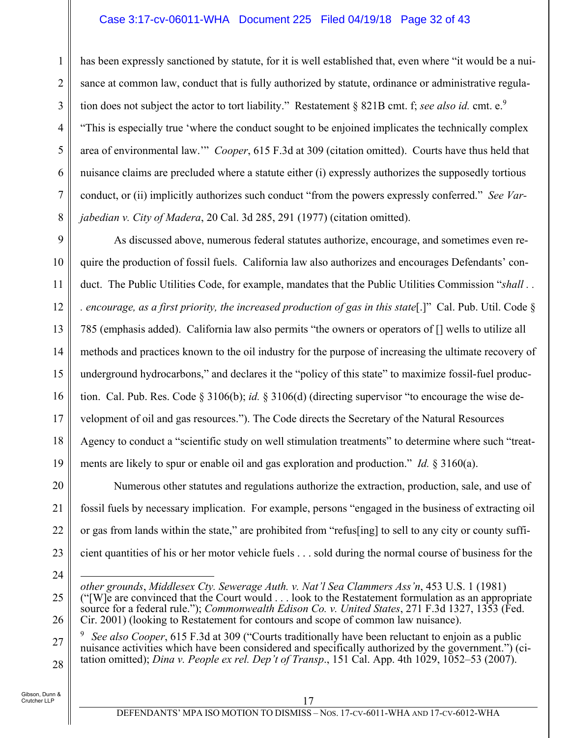### Case 3:17-cv-06011-WHA Document 225 Filed 04/19/18 Page 32 of 43

1 2 3 4 5 6 7 8 has been expressly sanctioned by statute, for it is well established that, even where "it would be a nuisance at common law, conduct that is fully authorized by statute, ordinance or administrative regulation does not subject the actor to tort liability." Restatement § 821B cmt. f; *see also id.* cmt. e.<sup>9</sup> "This is especially true 'where the conduct sought to be enjoined implicates the technically complex area of environmental law.'" *Cooper*, 615 F.3d at 309 (citation omitted). Courts have thus held that nuisance claims are precluded where a statute either (i) expressly authorizes the supposedly tortious conduct, or (ii) implicitly authorizes such conduct "from the powers expressly conferred." *See Varjabedian v. City of Madera*, 20 Cal. 3d 285, 291 (1977) (citation omitted).

9 10 11 12 13 14 15 16 17 18 19 As discussed above, numerous federal statutes authorize, encourage, and sometimes even require the production of fossil fuels. California law also authorizes and encourages Defendants' conduct. The Public Utilities Code, for example, mandates that the Public Utilities Commission "*shall . . . encourage, as a first priority, the increased production of gas in this state*[.]" Cal. Pub. Util. Code § 785 (emphasis added). California law also permits "the owners or operators of [] wells to utilize all methods and practices known to the oil industry for the purpose of increasing the ultimate recovery of underground hydrocarbons," and declares it the "policy of this state" to maximize fossil-fuel production. Cal. Pub. Res. Code § 3106(b); *id.* § 3106(d) (directing supervisor "to encourage the wise development of oil and gas resources."). The Code directs the Secretary of the Natural Resources Agency to conduct a "scientific study on well stimulation treatments" to determine where such "treatments are likely to spur or enable oil and gas exploration and production." *Id.* § 3160(a).

Numerous other statutes and regulations authorize the extraction, production, sale, and use of fossil fuels by necessary implication. For example, persons "engaged in the business of extracting oil or gas from lands within the state," are prohibited from "refus[ing] to sell to any city or county sufficient quantities of his or her motor vehicle fuels . . . sold during the normal course of business for the

24

25

26

20

21

22

23

27 28 9 *See also Cooper*, 615 F.3d at 309 ("Courts traditionally have been reluctant to enjoin as a public nuisance activities which have been considered and specifically authorized by the government.") (citation omitted); *Dina v. People ex rel. Dep't of Transp*., 151 Cal. App. 4th 1029, 1052–53 (2007).

 $\overline{a}$ *other grounds*, *Middlesex Cty. Sewerage Auth. v. Nat'l Sea Clammers Ass'n*, 453 U.S. 1 (1981) ("[W]e are convinced that the Court would . . . look to the Restatement formulation as an appropriate source for a federal rule."); *Commonwealth Edison Co. v. United States*, 271 F.3d 1327, 1353 (Fed. Cir. 2001) (looking to Restatement for contours and scope of common law nuisance).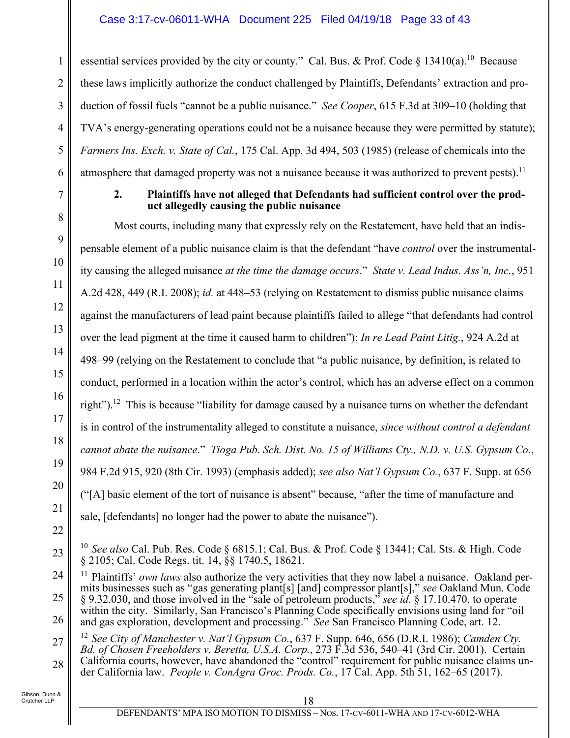essential services provided by the city or county." Cal. Bus. & Prof. Code § 13410(a).<sup>10</sup> Because these laws implicitly authorize the conduct challenged by Plaintiffs, Defendants' extraction and production of fossil fuels "cannot be a public nuisance." *See Cooper*, 615 F.3d at 309–10 (holding that TVA's energy-generating operations could not be a nuisance because they were permitted by statute); *Farmers Ins. Exch. v. State of Cal.*, 175 Cal. App. 3d 494, 503 (1985) (release of chemicals into the atmosphere that damaged property was not a nuisance because it was authorized to prevent pests).<sup>11</sup>

### **2. Plaintiffs have not alleged that Defendants had sufficient control over the product allegedly causing the public nuisance**

Most courts, including many that expressly rely on the Restatement, have held that an indispensable element of a public nuisance claim is that the defendant "have *control* over the instrumentality causing the alleged nuisance *at the time the damage occurs*." *State v. Lead Indus. Ass'n, Inc.*, 951 A.2d 428, 449 (R.I. 2008); *id.* at 448–53 (relying on Restatement to dismiss public nuisance claims against the manufacturers of lead paint because plaintiffs failed to allege "that defendants had control over the lead pigment at the time it caused harm to children"); *In re Lead Paint Litig.*, 924 A.2d at 498–99 (relying on the Restatement to conclude that "a public nuisance, by definition, is related to conduct, performed in a location within the actor's control, which has an adverse effect on a common right").<sup>12</sup> This is because "liability for damage caused by a nuisance turns on whether the defendant is in control of the instrumentality alleged to constitute a nuisance, *since without control a defendant cannot abate the nuisance*." *Tioga Pub. Sch. Dist. No. 15 of Williams Cty., N.D. v. U.S. Gypsum Co.*, 984 F.2d 915, 920 (8th Cir. 1993) (emphasis added); *see also Nat'l Gypsum Co.*, 637 F. Supp. at 656 ("[A] basic element of the tort of nuisance is absent" because, "after the time of manufacture and sale, [defendants] no longer had the power to abate the nuisance").

22

23

1

2

3

4

5

6

7

8

9

10

11

12

13

14

15

16

17

18

19

20

21

27 28 12 *See City of Manchester v. Nat'l Gypsum Co.*, 637 F. Supp. 646, 656 (D.R.I. 1986); *Camden Cty. Bd. of Chosen Freeholders v. Beretta, U.S.A. Corp.*, 273 F.3d 536, 540–41 (3rd Cir. 2001). Certain California courts, however, have abandoned the "control" requirement for public nuisance claims under California law. *People v. ConAgra Groc. Prods. Co.*, 17 Cal. App. 5th 51, 162–65 (2017).

 $\overline{a}$ 10 *See also* Cal. Pub. Res. Code § 6815.1; Cal. Bus. & Prof. Code § 13441; Cal. Sts. & High. Code § 2105; Cal. Code Regs. tit. 14, §§ 1740.5, 18621.

<sup>24</sup> 25 26 <sup>11</sup> Plaintiffs' *own laws* also authorize the very activities that they now label a nuisance. Oakland permits businesses such as "gas generating plant[s] [and] compressor plant[s]," *see* Oakland Mun. Code § 9.32.030, and those involved in the "sale of petroleum products," *see id.* § 17.10.470, to operate within the city. Similarly, San Francisco's Planning Code specifically envisions using land for "oil" and gas exploration, development and processing." *See* San Francisco Planning Code, art. 12.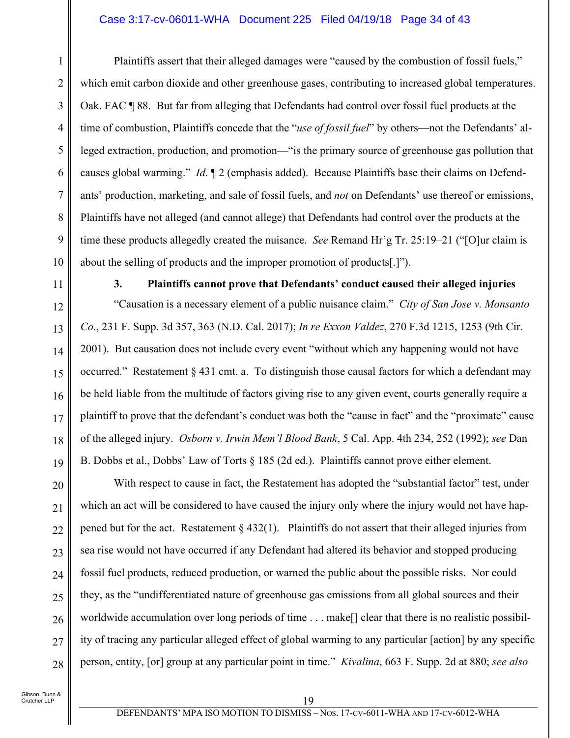#### Case 3:17-cv-06011-WHA Document 225 Filed 04/19/18 Page 34 of 43

Plaintiffs assert that their alleged damages were "caused by the combustion of fossil fuels," which emit carbon dioxide and other greenhouse gases, contributing to increased global temperatures. Oak. FAC ¶ 88. But far from alleging that Defendants had control over fossil fuel products at the time of combustion, Plaintiffs concede that the "*use of fossil fuel*" by others—not the Defendants' alleged extraction, production, and promotion—"is the primary source of greenhouse gas pollution that causes global warming." *Id*. ¶ 2 (emphasis added). Because Plaintiffs base their claims on Defendants' production, marketing, and sale of fossil fuels, and *not* on Defendants' use thereof or emissions, Plaintiffs have not alleged (and cannot allege) that Defendants had control over the products at the time these products allegedly created the nuisance. *See* Remand Hr'g Tr. 25:19–21 ("[O]ur claim is about the selling of products and the improper promotion of products[.]").

11

1

2

3

4

5

6

7

8

9

10

12

13

14

15

16

17

18

19

20

21

22

23

24

25

26

27

28

**3. Plaintiffs cannot prove that Defendants' conduct caused their alleged injuries** 

"Causation is a necessary element of a public nuisance claim." *City of San Jose v. Monsanto Co.*, 231 F. Supp. 3d 357, 363 (N.D. Cal. 2017); *In re Exxon Valdez*, 270 F.3d 1215, 1253 (9th Cir. 2001). But causation does not include every event "without which any happening would not have occurred." Restatement § 431 cmt. a. To distinguish those causal factors for which a defendant may be held liable from the multitude of factors giving rise to any given event, courts generally require a plaintiff to prove that the defendant's conduct was both the "cause in fact" and the "proximate" cause of the alleged injury. *Osborn v. Irwin Mem'l Blood Bank*, 5 Cal. App. 4th 234, 252 (1992); *see* Dan B. Dobbs et al., Dobbs' Law of Torts § 185 (2d ed.). Plaintiffs cannot prove either element.

With respect to cause in fact, the Restatement has adopted the "substantial factor" test, under which an act will be considered to have caused the injury only where the injury would not have happened but for the act. Restatement  $\S 432(1)$ . Plaintiffs do not assert that their alleged injuries from sea rise would not have occurred if any Defendant had altered its behavior and stopped producing fossil fuel products, reduced production, or warned the public about the possible risks. Nor could they, as the "undifferentiated nature of greenhouse gas emissions from all global sources and their worldwide accumulation over long periods of time . . . make<sup>[]</sup> clear that there is no realistic possibility of tracing any particular alleged effect of global warming to any particular [action] by any specific person, entity, [or] group at any particular point in time." *Kivalina*, 663 F. Supp. 2d at 880; *see also*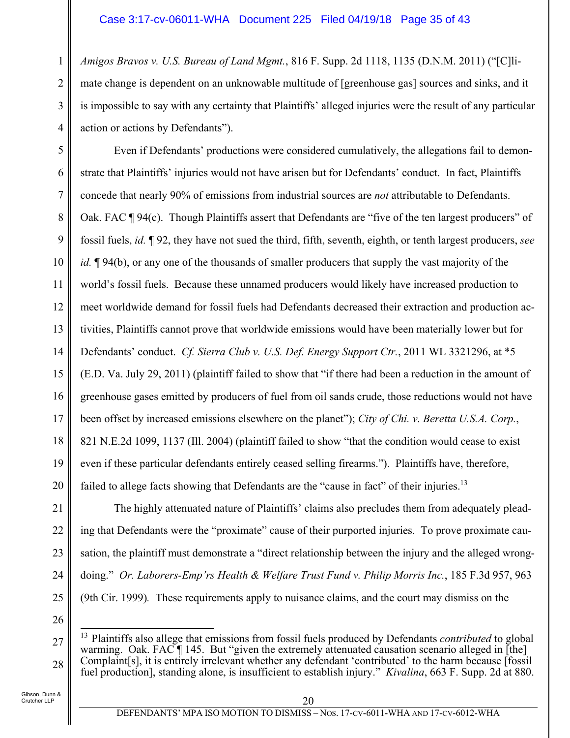*Amigos Bravos v. U.S. Bureau of Land Mgmt.*, 816 F. Supp. 2d 1118, 1135 (D.N.M. 2011) ("[C]limate change is dependent on an unknowable multitude of [greenhouse gas] sources and sinks, and it is impossible to say with any certainty that Plaintiffs' alleged injuries were the result of any particular action or actions by Defendants").

5 6 7 8 9 10 11 12 13 14 15 16 17 18 19 20 Even if Defendants' productions were considered cumulatively, the allegations fail to demonstrate that Plaintiffs' injuries would not have arisen but for Defendants' conduct. In fact, Plaintiffs concede that nearly 90% of emissions from industrial sources are *not* attributable to Defendants. Oak. FAC ¶ 94(c). Though Plaintiffs assert that Defendants are "five of the ten largest producers" of fossil fuels, *id.* ¶ 92, they have not sued the third, fifth, seventh, eighth, or tenth largest producers, *see id.*  $\mathbb{I}$  94(b), or any one of the thousands of smaller producers that supply the vast majority of the world's fossil fuels. Because these unnamed producers would likely have increased production to meet worldwide demand for fossil fuels had Defendants decreased their extraction and production activities, Plaintiffs cannot prove that worldwide emissions would have been materially lower but for Defendants' conduct. *Cf. Sierra Club v. U.S. Def. Energy Support Ctr.*, 2011 WL 3321296, at \*5 (E.D. Va. July 29, 2011) (plaintiff failed to show that "if there had been a reduction in the amount of greenhouse gases emitted by producers of fuel from oil sands crude, those reductions would not have been offset by increased emissions elsewhere on the planet"); *City of Chi. v. Beretta U.S.A. Corp.*, 821 N.E.2d 1099, 1137 (Ill. 2004) (plaintiff failed to show "that the condition would cease to exist even if these particular defendants entirely ceased selling firearms."). Plaintiffs have, therefore, failed to allege facts showing that Defendants are the "cause in fact" of their injuries.<sup>13</sup>

The highly attenuated nature of Plaintiffs' claims also precludes them from adequately pleading that Defendants were the "proximate" cause of their purported injuries. To prove proximate causation, the plaintiff must demonstrate a "direct relationship between the injury and the alleged wrongdoing." *Or. Laborers-Emp'rs Health & Welfare Trust Fund v. Philip Morris Inc.*, 185 F.3d 957, 963 (9th Cir. 1999)*.* These requirements apply to nuisance claims, and the court may dismiss on the

26

 $\overline{a}$ 

21

22

23

24

25

1

2

3

<sup>27</sup> 28 13 Plaintiffs also allege that emissions from fossil fuels produced by Defendants *contributed* to global warming. Oak. FAC  $\P$  145. But "given the extremely attenuated causation scenario alleged in [the] Complaint[s], it is entirely irrelevant whether any defendant 'contributed' to the harm because [fossil fuel production], standing alone, is insufficient to establish injury." *Kivalina*, 663 F. Supp. 2d at 880.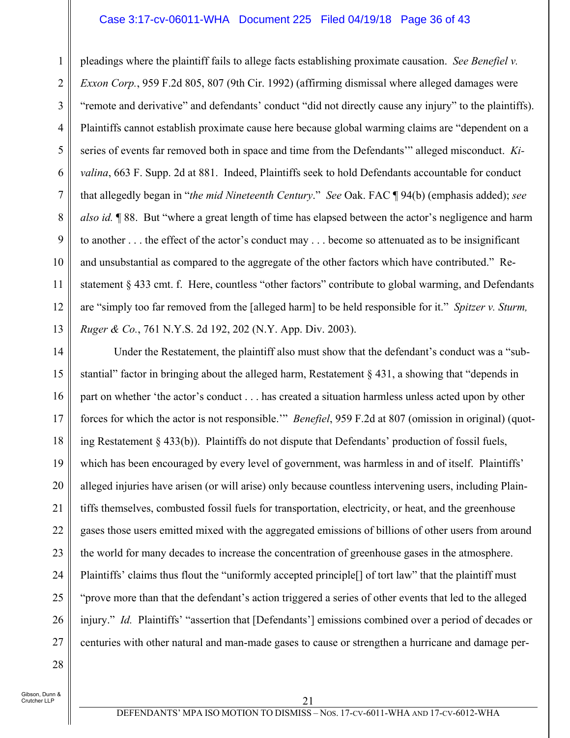#### Case 3:17-cv-06011-WHA Document 225 Filed 04/19/18 Page 36 of 43

1 2 3 4 5 6 7 8 9 10 11 12 13 pleadings where the plaintiff fails to allege facts establishing proximate causation. *See Benefiel v. Exxon Corp.*, 959 F.2d 805, 807 (9th Cir. 1992) (affirming dismissal where alleged damages were "remote and derivative" and defendants' conduct "did not directly cause any injury" to the plaintiffs). Plaintiffs cannot establish proximate cause here because global warming claims are "dependent on a series of events far removed both in space and time from the Defendants'" alleged misconduct. *Kivalina*, 663 F. Supp. 2d at 881. Indeed, Plaintiffs seek to hold Defendants accountable for conduct that allegedly began in "*the mid Nineteenth Century*." *See* Oak. FAC ¶ 94(b) (emphasis added); *see also id.* ¶ 88. But "where a great length of time has elapsed between the actor's negligence and harm to another . . . the effect of the actor's conduct may . . . become so attenuated as to be insignificant and unsubstantial as compared to the aggregate of the other factors which have contributed." Restatement § 433 cmt. f. Here, countless "other factors" contribute to global warming, and Defendants are "simply too far removed from the [alleged harm] to be held responsible for it." *Spitzer v. Sturm, Ruger & Co.*, 761 N.Y.S. 2d 192, 202 (N.Y. App. Div. 2003).

14 15 16 17 18 19 20 21 22 23 24 25 26 27 Under the Restatement, the plaintiff also must show that the defendant's conduct was a "substantial" factor in bringing about the alleged harm, Restatement § 431, a showing that "depends in part on whether 'the actor's conduct . . . has created a situation harmless unless acted upon by other forces for which the actor is not responsible.'" *Benefiel*, 959 F.2d at 807 (omission in original) (quoting Restatement § 433(b)). Plaintiffs do not dispute that Defendants' production of fossil fuels, which has been encouraged by every level of government, was harmless in and of itself. Plaintiffs' alleged injuries have arisen (or will arise) only because countless intervening users, including Plaintiffs themselves, combusted fossil fuels for transportation, electricity, or heat, and the greenhouse gases those users emitted mixed with the aggregated emissions of billions of other users from around the world for many decades to increase the concentration of greenhouse gases in the atmosphere. Plaintiffs' claims thus flout the "uniformly accepted principle[] of tort law" that the plaintiff must "prove more than that the defendant's action triggered a series of other events that led to the alleged injury." *Id.* Plaintiffs' "assertion that [Defendants'] emissions combined over a period of decades or centuries with other natural and man-made gases to cause or strengthen a hurricane and damage per-

28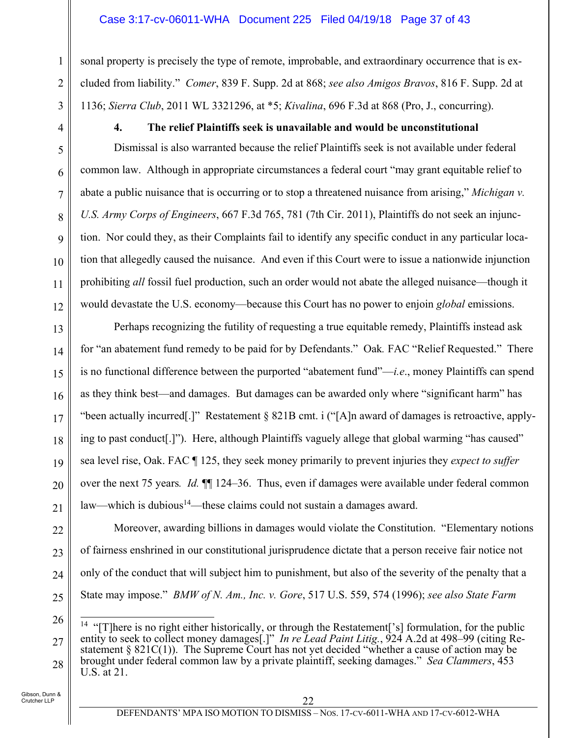#### Case 3:17-cv-06011-WHA Document 225 Filed 04/19/18 Page 37 of 43

sonal property is precisely the type of remote, improbable, and extraordinary occurrence that is excluded from liability." *Comer*, 839 F. Supp. 2d at 868; *see also Amigos Bravos*, 816 F. Supp. 2d at 1136; *Sierra Club*, 2011 WL 3321296, at \*5; *Kivalina*, 696 F.3d at 868 (Pro, J., concurring).

1

2

3

4

5

6

7

8

9

10

11

12

13

14

15

16

17

18

19

20

# **4. The relief Plaintiffs seek is unavailable and would be unconstitutional**

Dismissal is also warranted because the relief Plaintiffs seek is not available under federal common law. Although in appropriate circumstances a federal court "may grant equitable relief to abate a public nuisance that is occurring or to stop a threatened nuisance from arising," *Michigan v. U.S. Army Corps of Engineers*, 667 F.3d 765, 781 (7th Cir. 2011), Plaintiffs do not seek an injunction. Nor could they, as their Complaints fail to identify any specific conduct in any particular location that allegedly caused the nuisance. And even if this Court were to issue a nationwide injunction prohibiting *all* fossil fuel production, such an order would not abate the alleged nuisance—though it would devastate the U.S. economy—because this Court has no power to enjoin *global* emissions.

Perhaps recognizing the futility of requesting a true equitable remedy, Plaintiffs instead ask for "an abatement fund remedy to be paid for by Defendants." Oak*.* FAC "Relief Requested." There is no functional difference between the purported "abatement fund"—*i.e*., money Plaintiffs can spend as they think best—and damages. But damages can be awarded only where "significant harm" has "been actually incurred[.]" Restatement § 821B cmt. i ("[A]n award of damages is retroactive, applying to past conduct[.]"). Here, although Plaintiffs vaguely allege that global warming "has caused" sea level rise, Oak. FAC ¶ 125, they seek money primarily to prevent injuries they *expect to suffer*  over the next 75 years*. Id.* ¶¶ 124–36. Thus, even if damages were available under federal common law—which is dubious<sup>14</sup>—these claims could not sustain a damages award.

Moreover, awarding billions in damages would violate the Constitution. "Elementary notions of fairness enshrined in our constitutional jurisprudence dictate that a person receive fair notice not only of the conduct that will subject him to punishment, but also of the severity of the penalty that a State may impose." *BMW of N. Am., Inc. v. Gore*, 517 U.S. 559, 574 (1996); *see also State Farm* 

<sup>27</sup> 28  $\overline{a}$ <sup>14</sup> "[T]here is no right either historically, or through the Restatement['s] formulation, for the public entity to seek to collect money damages[.]" *In re Lead Paint Litig.*, 924 A.2d at 498–99 (citing Restatement  $\S 821C(1)$ ). The Supreme Court has not yet decided "whether a cause of action may be brought under federal common law by a private plaintiff, seeking damages." *Sea Clammers*, 453 U.S. at 21.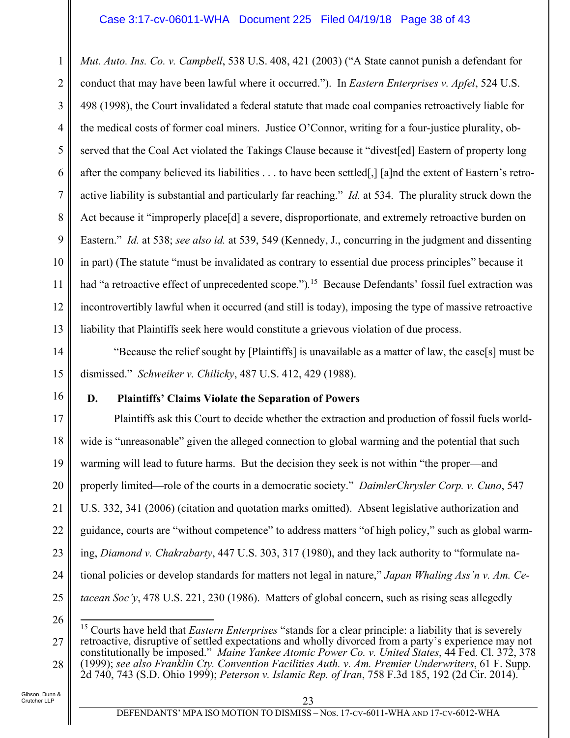1 2 3 4 5 6 7 8 9 10 11 12 13 *Mut. Auto. Ins. Co. v. Campbell*, 538 U.S. 408, 421 (2003) ("A State cannot punish a defendant for conduct that may have been lawful where it occurred."). In *Eastern Enterprises v. Apfel*, 524 U.S. 498 (1998), the Court invalidated a federal statute that made coal companies retroactively liable for the medical costs of former coal miners. Justice O'Connor, writing for a four-justice plurality, observed that the Coal Act violated the Takings Clause because it "divest[ed] Eastern of property long after the company believed its liabilities . . . to have been settled[,] [a]nd the extent of Eastern's retroactive liability is substantial and particularly far reaching." *Id.* at 534. The plurality struck down the Act because it "improperly place[d] a severe, disproportionate, and extremely retroactive burden on Eastern." *Id.* at 538; *see also id.* at 539, 549 (Kennedy, J., concurring in the judgment and dissenting in part) (The statute "must be invalidated as contrary to essential due process principles" because it had "a retroactive effect of unprecedented scope.")*.* 15 Because Defendants' fossil fuel extraction was incontrovertibly lawful when it occurred (and still is today), imposing the type of massive retroactive liability that Plaintiffs seek here would constitute a grievous violation of due process.

14 15 "Because the relief sought by [Plaintiffs] is unavailable as a matter of law, the case[s] must be dismissed." *Schweiker v. Chilicky*, 487 U.S. 412, 429 (1988).

16

17

18

19

20

21

22

23

24

25

# **D. Plaintiffs' Claims Violate the Separation of Powers**

Plaintiffs ask this Court to decide whether the extraction and production of fossil fuels worldwide is "unreasonable" given the alleged connection to global warming and the potential that such warming will lead to future harms. But the decision they seek is not within "the proper—and properly limited—role of the courts in a democratic society." *DaimlerChrysler Corp. v. Cuno*, 547 U.S. 332, 341 (2006) (citation and quotation marks omitted). Absent legislative authorization and guidance, courts are "without competence" to address matters "of high policy," such as global warming, *Diamond v. Chakrabarty*, 447 U.S. 303, 317 (1980), and they lack authority to "formulate national policies or develop standards for matters not legal in nature," *Japan Whaling Ass'n v. Am. Cetacean Soc'y*, 478 U.S. 221, 230 (1986). Matters of global concern, such as rising seas allegedly

<sup>26</sup> 27 28  $\overline{a}$ 15 Courts have held that *Eastern Enterprises* "stands for a clear principle: a liability that is severely retroactive, disruptive of settled expectations and wholly divorced from a party's experience may not constitutionally be imposed." *Maine Yankee Atomic Power Co. v. United States*, 44 Fed. Cl. 372, 378 (1999); *see also Franklin Cty. Convention Facilities Auth. v. Am. Premier Underwriters*, 61 F. Supp. 2d 740, 743 (S.D. Ohio 1999); *Peterson v. Islamic Rep. of Iran*, 758 F.3d 185, 192 (2d Cir. 2014).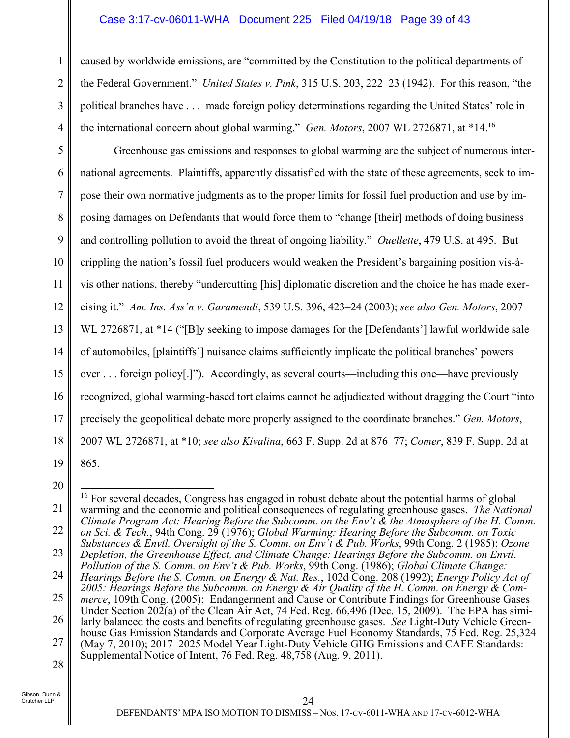#### Case 3:17-cv-06011-WHA Document 225 Filed 04/19/18 Page 39 of 43

caused by worldwide emissions, are "committed by the Constitution to the political departments of the Federal Government." *United States v. Pink*, 315 U.S. 203, 222–23 (1942). For this reason, "the political branches have . . . made foreign policy determinations regarding the United States' role in the international concern about global warming." *Gen. Motors*, 2007 WL 2726871, at \*14.16

5 6 7 8 9 10 11 12 13 14 15 16 17 18 19 Greenhouse gas emissions and responses to global warming are the subject of numerous international agreements. Plaintiffs, apparently dissatisfied with the state of these agreements, seek to impose their own normative judgments as to the proper limits for fossil fuel production and use by imposing damages on Defendants that would force them to "change [their] methods of doing business and controlling pollution to avoid the threat of ongoing liability." *Ouellette*, 479 U.S. at 495. But crippling the nation's fossil fuel producers would weaken the President's bargaining position vis-àvis other nations, thereby "undercutting [his] diplomatic discretion and the choice he has made exercising it." *Am. Ins. Ass'n v. Garamendi*, 539 U.S. 396, 423–24 (2003); *see also Gen. Motors*, 2007 WL 2726871, at \*14 ("[B]y seeking to impose damages for the [Defendants'] lawful worldwide sale of automobiles, [plaintiffs'] nuisance claims sufficiently implicate the political branches' powers over . . . foreign policy[.]"). Accordingly, as several courts—including this one—have previously recognized, global warming-based tort claims cannot be adjudicated without dragging the Court "into precisely the geopolitical debate more properly assigned to the coordinate branches." *Gen. Motors*, 2007 WL 2726871, at \*10; *see also Kivalina*, 663 F. Supp. 2d at 876–77; *Comer*, 839 F. Supp. 2d at 865.

20

 $\overline{a}$ 

1

2

3

4

Crutcher LLP

<sup>21</sup> 22 23 24 25 26 27 <sup>16</sup> For several decades, Congress has engaged in robust debate about the potential harms of global warming and the economic and political consequences of regulating greenhouse gases. *The National Climate Program Act: Hearing Before the Subcomm. on the Env't & the Atmosphere of the H. Comm. on Sci. & Tech.*, 94th Cong. 29 (1976); *Global Warming: Hearing Before the Subcomm. on Toxic Substances & Envtl. Oversight of the S. Comm. on Env't & Pub. Works*, 99th Cong. 2 (1985); *Ozone Depletion, the Greenhouse Effect, and Climate Change: Hearings Before the Subcomm. on Envtl. Pollution of the S. Comm. on Env't & Pub. Works*, 99th Cong. (1986); *Global Climate Change: Hearings Before the S. Comm. on Energy & Nat. Res.*, 102d Cong. 208 (1992); *Energy Policy Act of 2005: Hearings Before the Subcomm. on Energy & Air Quality of the H. Comm. on Energy & Commerce*, 109th Cong. (2005); Endangerment and Cause or Contribute Findings for Greenhouse Gases Under Section 202(a) of the Clean Air Act, 74 Fed. Reg. 66,496 (Dec. 15, 2009). The EPA has similarly balanced the costs and benefits of regulating greenhouse gases. *See* Light-Duty Vehicle Greenhouse Gas Emission Standards and Corporate Average Fuel Economy Standards, 75 Fed. Reg. 25,324 (May 7, 2010); 2017–2025 Model Year Light-Duty Vehicle GHG Emissions and CAFE Standards: Supplemental Notice of Intent, 76 Fed. Reg. 48,758 (Aug. 9, 2011).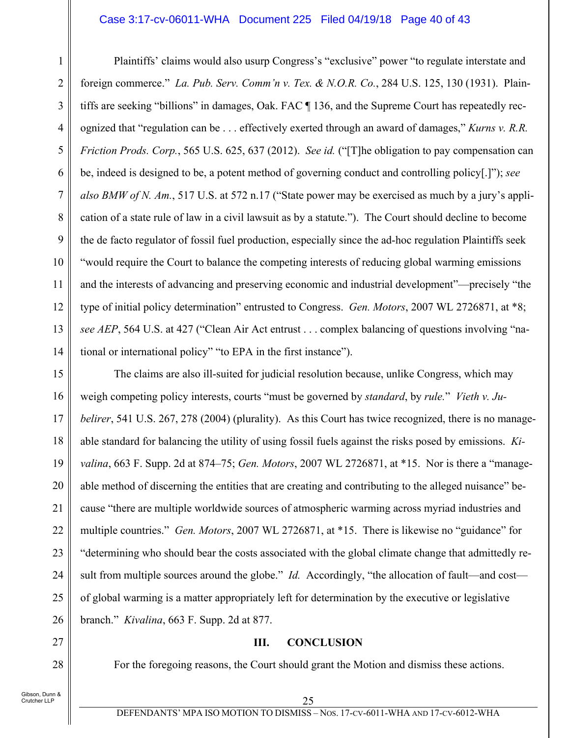#### Case 3:17-cv-06011-WHA Document 225 Filed 04/19/18 Page 40 of 43

Plaintiffs' claims would also usurp Congress's "exclusive" power "to regulate interstate and foreign commerce." *La. Pub. Serv. Comm'n v. Tex. & N.O.R. Co.*, 284 U.S. 125, 130 (1931). Plaintiffs are seeking "billions" in damages, Oak. FAC ¶ 136, and the Supreme Court has repeatedly recognized that "regulation can be . . . effectively exerted through an award of damages," *Kurns v. R.R. Friction Prods. Corp.*, 565 U.S. 625, 637 (2012). *See id.* ("[T]he obligation to pay compensation can be, indeed is designed to be, a potent method of governing conduct and controlling policy[.]"); *see also BMW of N. Am.*, 517 U.S. at 572 n.17 ("State power may be exercised as much by a jury's application of a state rule of law in a civil lawsuit as by a statute."). The Court should decline to become the de facto regulator of fossil fuel production, especially since the ad-hoc regulation Plaintiffs seek "would require the Court to balance the competing interests of reducing global warming emissions and the interests of advancing and preserving economic and industrial development"—precisely "the type of initial policy determination" entrusted to Congress. *Gen. Motors*, 2007 WL 2726871, at \*8; *see AEP*, 564 U.S. at 427 ("Clean Air Act entrust . . . complex balancing of questions involving "national or international policy" "to EPA in the first instance").

15 16 17 18 19 20 21 22 23 24 25 26 The claims are also ill-suited for judicial resolution because, unlike Congress, which may weigh competing policy interests, courts "must be governed by *standard*, by *rule.*" *Vieth v. Jubelirer*, 541 U.S. 267, 278 (2004) (plurality). As this Court has twice recognized, there is no manageable standard for balancing the utility of using fossil fuels against the risks posed by emissions. *Kivalina*, 663 F. Supp. 2d at 874–75; *Gen. Motors*, 2007 WL 2726871, at \*15. Nor is there a "manageable method of discerning the entities that are creating and contributing to the alleged nuisance" because "there are multiple worldwide sources of atmospheric warming across myriad industries and multiple countries." *Gen. Motors*, 2007 WL 2726871, at \*15. There is likewise no "guidance" for "determining who should bear the costs associated with the global climate change that admittedly result from multiple sources around the globe." *Id.* Accordingly, "the allocation of fault—and cost of global warming is a matter appropriately left for determination by the executive or legislative branch." *Kivalina*, 663 F. Supp. 2d at 877.

#### **III. CONCLUSION**

For the foregoing reasons, the Court should grant the Motion and dismiss these actions.

27

28

1

2

3

4

5

6

7

8

9

10

11

12

13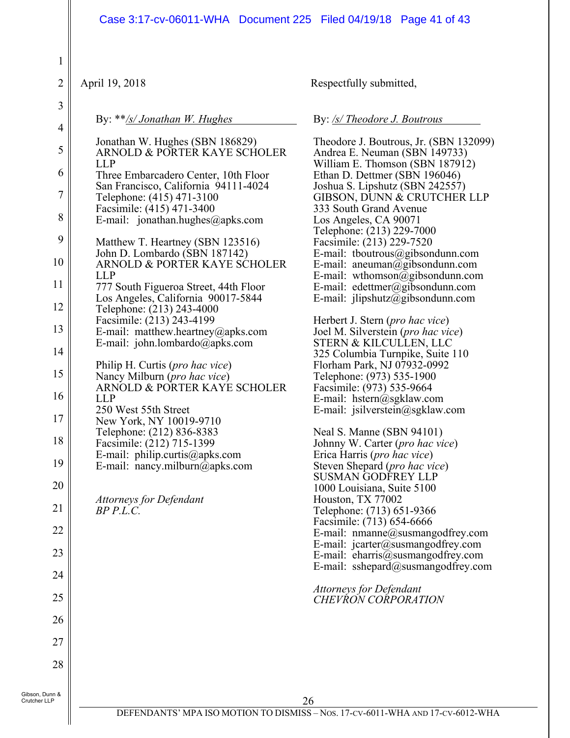#### Case 3:17-cv-06011-WHA Document 225 Filed 04/19/18 Page 41 of 43

| $\mathbf{1}$                   |                                                                                             |                                                                                                              |
|--------------------------------|---------------------------------------------------------------------------------------------|--------------------------------------------------------------------------------------------------------------|
| $\overline{c}$                 | April 19, 2018                                                                              | Respectfully submitted,                                                                                      |
| 3<br>$\overline{4}$            | By: $**$ /s/ Jonathan W. Hughes                                                             | By: /s/ Theodore J. Boutrous                                                                                 |
| 5                              | Jonathan W. Hughes (SBN 186829)<br>ARNOLD & PORTER KAYE SCHOLER                             | Theodore J. Boutrous, Jr. (SBN 132099)<br>Andrea E. Neuman (SBN 149733)                                      |
| 6                              | <b>LLP</b><br>Three Embarcadero Center, 10th Floor<br>San Francisco, California 94111-4024  | William E. Thomson (SBN 187912)<br>Ethan D. Dettmer (SBN 196046)<br>Joshua S. Lipshutz (SBN 242557)          |
| $\overline{7}$<br>$8\,$        | Telephone: (415) 471-3100<br>Facsimile: (415) 471-3400<br>E-mail: jonathan.hughes@apks.com  | GIBSON, DUNN & CRUTCHER LLP<br>333 South Grand Avenue<br>Los Angeles, CA 90071                               |
| 9                              | Matthew T. Heartney (SBN 123516)                                                            | Telephone: (213) 229-7000<br>Facsimile: (213) 229-7520                                                       |
| 10                             | John D. Lombardo (SBN 187142)<br>ARNOLD & PORTER KAYE SCHOLER<br><b>LLP</b>                 | E-mail: tboutrous@gibsondunn.com<br>E-mail: aneuman@gibsondunn.com<br>E-mail: wthomson@gibsondunn.com        |
| 11<br>12                       | 777 South Figueroa Street, 44th Floor<br>Los Angeles, California 90017-5844                 | E-mail: edettmer@gibsondunn.com<br>E-mail: $jlipshutz@gibsondunn.com$                                        |
| 13                             | Telephone: (213) 243-4000<br>Facsimile: (213) 243-4199<br>E-mail: matthew.heartney@apks.com | Herbert J. Stern ( <i>pro hac vice</i> )<br>Joel M. Silverstein ( <i>pro hac vice</i> )                      |
| 14                             | E-mail: john.lombardo@apks.com<br>Philip H. Curtis (pro hac vice)                           | STERN & KILCULLEN, LLC<br>325 Columbia Turnpike, Suite 110                                                   |
| 15                             | Nancy Milburn (pro hac vice)<br>ARNOLD & PORTER KAYE SCHOLER                                | Florham Park, NJ 07932-0992<br>Telephone: (973) 535-1900<br>Facsimile: (973) 535-9664                        |
| 16<br>17                       | <b>LLP</b><br>250 West 55th Street<br>New York, NY 10019-9710                               | E-mail: hstern@sgklaw.com<br>E-mail: jsilverstein@sgklaw.com                                                 |
| 18                             | Telephone: (212) 836-8383<br>Facsimile: (212) 715-1399                                      | Neal S. Manne (SBN 94101)<br>Johnny W. Carter ( <i>pro hac vice</i> )                                        |
| 19                             | E-mail: philip.curtis@apks.com<br>E-mail: nancy.milburn@apks.com                            | Erica Harris ( <i>pro hac vice</i> )<br>Steven Shepard ( <i>pro hac vice</i> )<br><b>SUSMAN GODFREY LLP</b>  |
| 20<br>21                       | Attorneys for Defendant                                                                     | 1000 Louisiana, Suite 5100<br>Houston, TX 77002                                                              |
| 22                             | $BP$ $P.L.C.$                                                                               | Telephone: (713) 651-9366<br>Facsimile: (713) 654-6666<br>E-mail: nmanne@susmangodfrey.com                   |
| 23                             |                                                                                             | E-mail: jcarter@susmangodfrey.com<br>E-mail: eharris@susmangodfrey.com<br>E-mail: sshepard@susmangodfrey.com |
| 24                             |                                                                                             | <b>Attorneys for Defendant</b>                                                                               |
| 25                             |                                                                                             | <b>CHEVRON CORPORATION</b>                                                                                   |
| 26<br>27                       |                                                                                             |                                                                                                              |
| 28                             |                                                                                             |                                                                                                              |
| Gibson, Dunn &<br>Crutcher LLP |                                                                                             | 26                                                                                                           |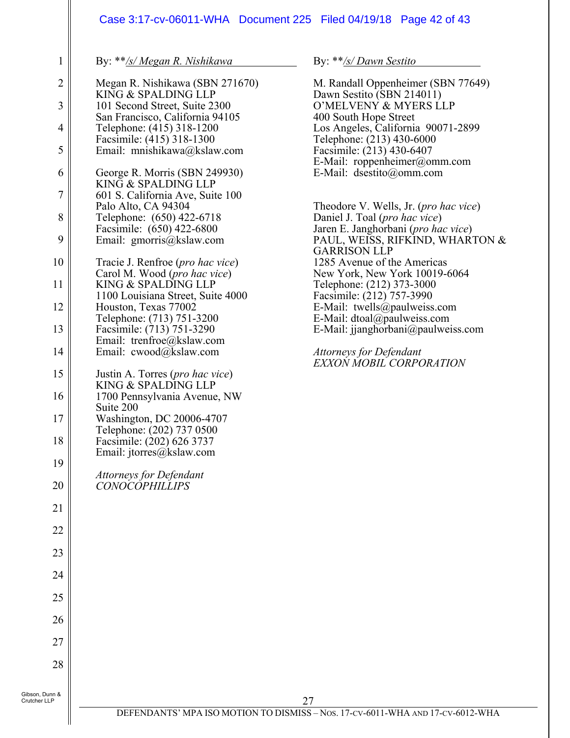## Case 3:17-cv-06011-WHA Document 225 Filed 04/19/18 Page 42 of 43

By: \*\**/s/ Megan R. Nishikawa*

1

| $\overline{c}$           | Megan R. Nishikawa (SBN 271670)                                                    |
|--------------------------|------------------------------------------------------------------------------------|
| $\overline{3}$           | KING & SPALDING LLP<br>101 Second Street, Suite 2300                               |
| $\overline{\mathcal{A}}$ | San Francisco, California 94105<br>Telephone: (415) 318-1200                       |
| 5                        | Facsimile: (415) 318-1300<br>Email: mnishikawa@kslaw.com                           |
| 6                        | George R. Morris (SBN 249930)                                                      |
| $\overline{7}$           | KING & SPALDING LLP<br>601 S. California Ave, Suite 100                            |
| 8                        | Palo Alto, CA 94304<br>Telephone: (650) 422-6718                                   |
| 9                        | Facsimile: (650) 422-6800<br>Email: gmorris@kslaw.com                              |
| 10                       | Tracie J. Renfroe (pro hac vice)                                                   |
| 11                       | Carol M. Wood (pro hac vice)<br>KING & SPALDING LLP                                |
| 12                       | 1100 Louisiana Street, Suite 4000<br>Houston, Texas 77002                          |
| 13                       | Telephone: (713) 751-3200<br>Facsimile: (713) 751-3290                             |
| 14                       | Email: trenfroe@kslaw.com<br>Email: cwood@kslaw.com                                |
| 15                       | Justin A. Torres (pro hac vice)                                                    |
| 16                       | KING & SPALDING LLP<br>1700 Pennsylvania Avenue, NW                                |
| 17                       | Suite 200<br>Washington, DC 20006-4707                                             |
| 18                       | Telephone: (202) 737 0500<br>Facsimile: (202) 626 3737<br>Email: jtorres@kslaw.com |
| 19                       |                                                                                    |
| 20                       | Attorneys for Defendant<br>CONOCOPHILLIPS                                          |
| $\overline{21}$          |                                                                                    |
| 22                       |                                                                                    |
| 23                       |                                                                                    |
| 24                       |                                                                                    |
| 25                       |                                                                                    |
| 26                       |                                                                                    |
| 27                       |                                                                                    |
| 28                       |                                                                                    |
| ın &                     |                                                                                    |

By: \*\**/s/ Dawn Sestito*

M. Randall Oppenheimer (SBN 77649) Dawn Sestito (SBN 214011) O'MELVENY & MYERS LLP 400 South Hope Street Los Angeles, California 90071-2899 Telephone: (213) 430-6000 Facsimile: (213) 430-6407 E-Mail: roppenheimer@omm.com E-Mail: dsestito@omm.com Theodore V. Wells, Jr. (*pro hac vice*) Daniel J. Toal (*pro hac vice*) Jaren E. Janghorbani (*pro hac vice*) PAUL, WEISS, RIFKIND, WHARTON & GARRISON LLP 1285 Avenue of the Americas New York, New York 10019-6064 Telephone: (212) 373-3000 Facsimile: (212) 757-3990 E-Mail: twells@paulweiss.com E-Mail: dtoal@paulweiss.com E-Mail: jjanghorbani@paulweiss.com *Attorneys for Defendant* 

*EXXON MOBIL CORPORATION*